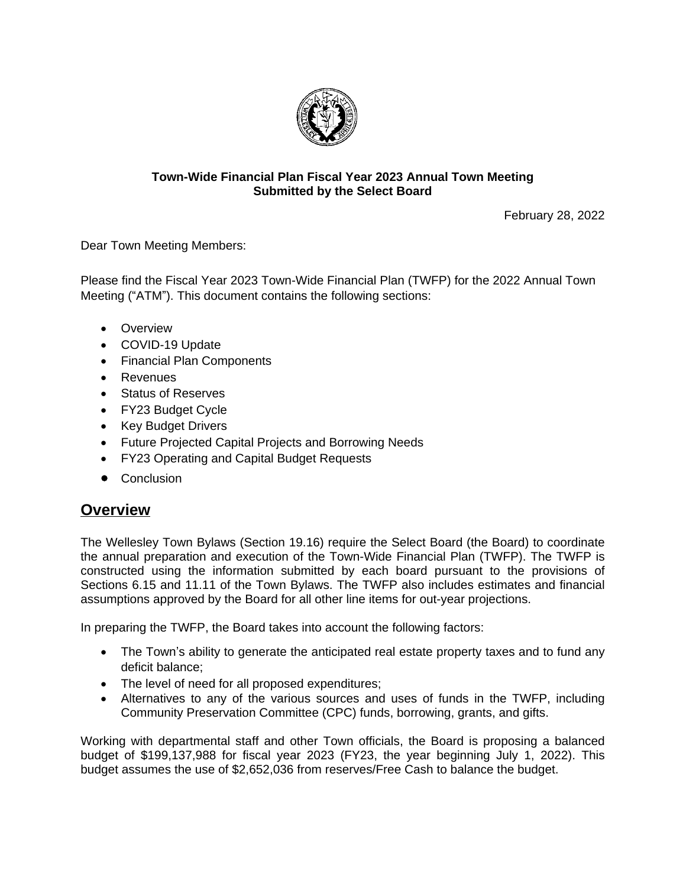

### **Town-Wide Financial Plan Fiscal Year 2023 Annual Town Meeting Submitted by the Select Board**

February 28, 2022

Dear Town Meeting Members:

Please find the Fiscal Year 2023 Town-Wide Financial Plan (TWFP) for the 2022 Annual Town Meeting ("ATM"). This document contains the following sections:

- Overview
- COVID-19 Update
- Financial Plan Components
- Revenues
- Status of Reserves
- FY23 Budget Cycle
- Key Budget Drivers
- Future Projected Capital Projects and Borrowing Needs
- FY23 Operating and Capital Budget Requests
- Conclusion

## **Overview**

The Wellesley Town Bylaws (Section 19.16) require the Select Board (the Board) to coordinate the annual preparation and execution of the Town-Wide Financial Plan (TWFP). The TWFP is constructed using the information submitted by each board pursuant to the provisions of Sections 6.15 and 11.11 of the Town Bylaws. The TWFP also includes estimates and financial assumptions approved by the Board for all other line items for out-year projections.

In preparing the TWFP, the Board takes into account the following factors:

- The Town's ability to generate the anticipated real estate property taxes and to fund any deficit balance;
- The level of need for all proposed expenditures;
- Alternatives to any of the various sources and uses of funds in the TWFP, including Community Preservation Committee (CPC) funds, borrowing, grants, and gifts.

Working with departmental staff and other Town officials, the Board is proposing a balanced budget of \$199,137,988 for fiscal year 2023 (FY23, the year beginning July 1, 2022). This budget assumes the use of \$2,652,036 from reserves/Free Cash to balance the budget.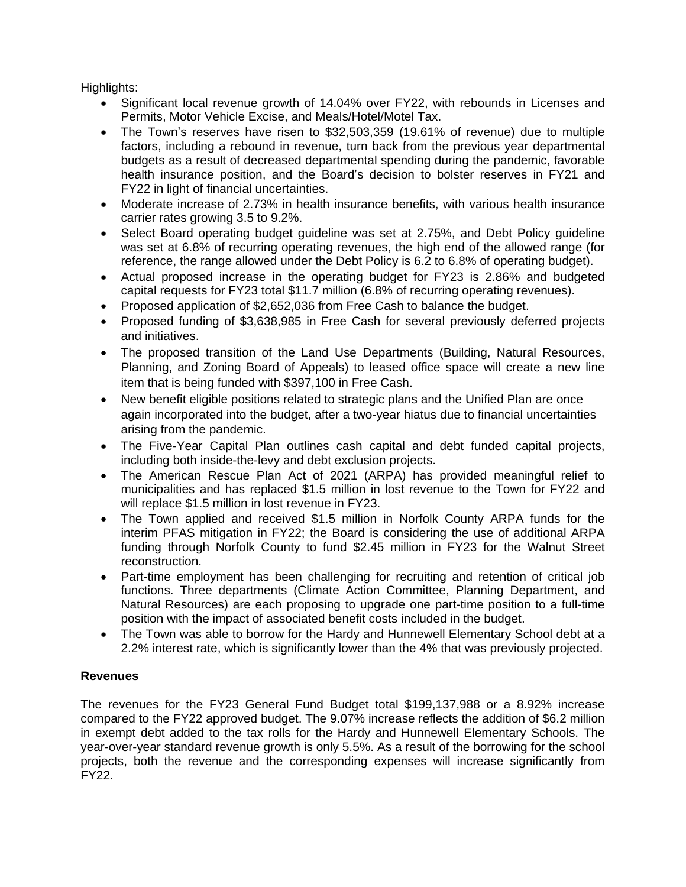Highlights:

- Significant local revenue growth of 14.04% over FY22, with rebounds in Licenses and Permits, Motor Vehicle Excise, and Meals/Hotel/Motel Tax.
- The Town's reserves have risen to \$32,503,359 (19.61% of revenue) due to multiple factors, including a rebound in revenue, turn back from the previous year departmental budgets as a result of decreased departmental spending during the pandemic, favorable health insurance position, and the Board's decision to bolster reserves in FY21 and FY22 in light of financial uncertainties.
- Moderate increase of 2.73% in health insurance benefits, with various health insurance carrier rates growing 3.5 to 9.2%.
- Select Board operating budget guideline was set at 2.75%, and Debt Policy guideline was set at 6.8% of recurring operating revenues, the high end of the allowed range (for reference, the range allowed under the Debt Policy is 6.2 to 6.8% of operating budget).
- Actual proposed increase in the operating budget for FY23 is 2.86% and budgeted capital requests for FY23 total \$11.7 million (6.8% of recurring operating revenues).
- Proposed application of \$2,652,036 from Free Cash to balance the budget.
- Proposed funding of \$3,638,985 in Free Cash for several previously deferred projects and initiatives.
- The proposed transition of the Land Use Departments (Building, Natural Resources, Planning, and Zoning Board of Appeals) to leased office space will create a new line item that is being funded with \$397,100 in Free Cash.
- New benefit eligible positions related to strategic plans and the Unified Plan are once again incorporated into the budget, after a two-year hiatus due to financial uncertainties arising from the pandemic.
- The Five-Year Capital Plan outlines cash capital and debt funded capital projects, including both inside-the-levy and debt exclusion projects.
- The American Rescue Plan Act of 2021 (ARPA) has provided meaningful relief to municipalities and has replaced \$1.5 million in lost revenue to the Town for FY22 and will replace \$1.5 million in lost revenue in FY23.
- The Town applied and received \$1.5 million in Norfolk County ARPA funds for the interim PFAS mitigation in FY22; the Board is considering the use of additional ARPA funding through Norfolk County to fund \$2.45 million in FY23 for the Walnut Street reconstruction.
- Part-time employment has been challenging for recruiting and retention of critical job functions. Three departments (Climate Action Committee, Planning Department, and Natural Resources) are each proposing to upgrade one part-time position to a full-time position with the impact of associated benefit costs included in the budget.
- The Town was able to borrow for the Hardy and Hunnewell Elementary School debt at a 2.2% interest rate, which is significantly lower than the 4% that was previously projected.

### **Revenues**

The revenues for the FY23 General Fund Budget total \$199,137,988 or a 8.92% increase compared to the FY22 approved budget. The 9.07% increase reflects the addition of \$6.2 million in exempt debt added to the tax rolls for the Hardy and Hunnewell Elementary Schools. The year-over-year standard revenue growth is only 5.5%. As a result of the borrowing for the school projects, both the revenue and the corresponding expenses will increase significantly from FY22.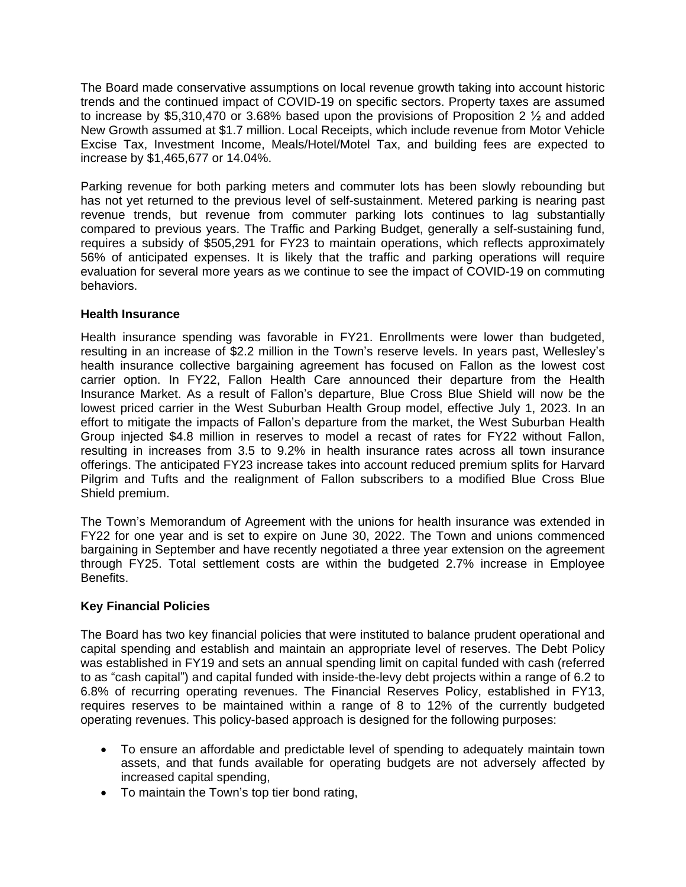The Board made conservative assumptions on local revenue growth taking into account historic trends and the continued impact of COVID-19 on specific sectors. Property taxes are assumed to increase by \$5,310,470 or 3.68% based upon the provisions of Proposition 2  $\frac{1}{2}$  and added New Growth assumed at \$1.7 million. Local Receipts, which include revenue from Motor Vehicle Excise Tax, Investment Income, Meals/Hotel/Motel Tax, and building fees are expected to increase by \$1,465,677 or 14.04%.

Parking revenue for both parking meters and commuter lots has been slowly rebounding but has not yet returned to the previous level of self-sustainment. Metered parking is nearing past revenue trends, but revenue from commuter parking lots continues to lag substantially compared to previous years. The Traffic and Parking Budget, generally a self-sustaining fund, requires a subsidy of \$505,291 for FY23 to maintain operations, which reflects approximately 56% of anticipated expenses. It is likely that the traffic and parking operations will require evaluation for several more years as we continue to see the impact of COVID-19 on commuting behaviors.

### **Health Insurance**

Health insurance spending was favorable in FY21. Enrollments were lower than budgeted, resulting in an increase of \$2.2 million in the Town's reserve levels. In years past, Wellesley's health insurance collective bargaining agreement has focused on Fallon as the lowest cost carrier option. In FY22, Fallon Health Care announced their departure from the Health Insurance Market. As a result of Fallon's departure, Blue Cross Blue Shield will now be the lowest priced carrier in the West Suburban Health Group model, effective July 1, 2023. In an effort to mitigate the impacts of Fallon's departure from the market, the West Suburban Health Group injected \$4.8 million in reserves to model a recast of rates for FY22 without Fallon, resulting in increases from 3.5 to 9.2% in health insurance rates across all town insurance offerings. The anticipated FY23 increase takes into account reduced premium splits for Harvard Pilgrim and Tufts and the realignment of Fallon subscribers to a modified Blue Cross Blue Shield premium.

The Town's Memorandum of Agreement with the unions for health insurance was extended in FY22 for one year and is set to expire on June 30, 2022. The Town and unions commenced bargaining in September and have recently negotiated a three year extension on the agreement through FY25. Total settlement costs are within the budgeted 2.7% increase in Employee Benefits.

### **Key Financial Policies**

The Board has two key financial policies that were instituted to balance prudent operational and capital spending and establish and maintain an appropriate level of reserves. The Debt Policy was established in FY19 and sets an annual spending limit on capital funded with cash (referred to as "cash capital") and capital funded with inside-the-levy debt projects within a range of 6.2 to 6.8% of recurring operating revenues. The Financial Reserves Policy, established in FY13, requires reserves to be maintained within a range of 8 to 12% of the currently budgeted operating revenues. This policy-based approach is designed for the following purposes:

- To ensure an affordable and predictable level of spending to adequately maintain town assets, and that funds available for operating budgets are not adversely affected by increased capital spending,
- To maintain the Town's top tier bond rating,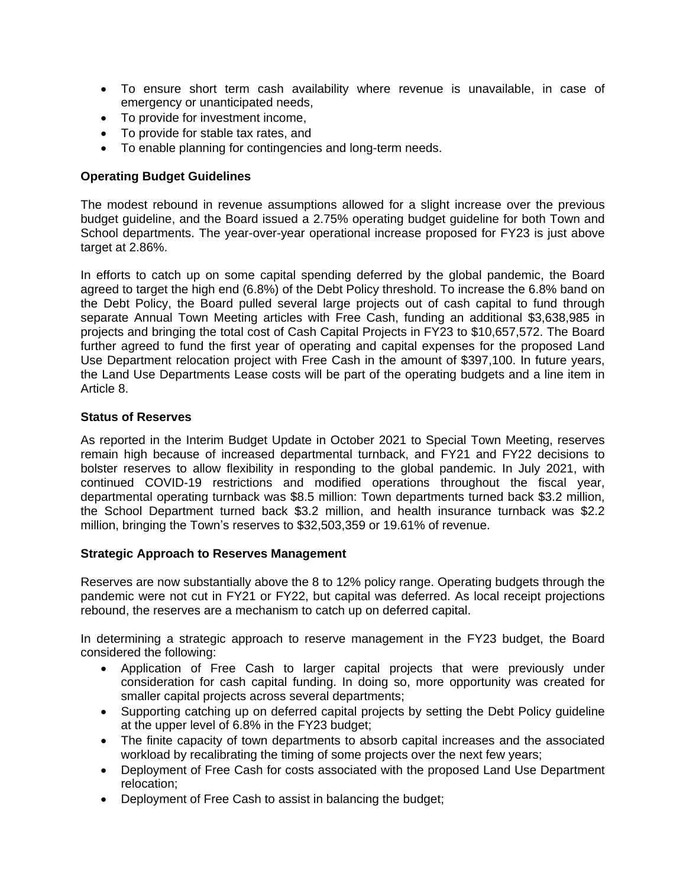- To ensure short term cash availability where revenue is unavailable, in case of emergency or unanticipated needs,
- To provide for investment income,
- To provide for stable tax rates, and
- To enable planning for contingencies and long-term needs.

### **Operating Budget Guidelines**

The modest rebound in revenue assumptions allowed for a slight increase over the previous budget guideline, and the Board issued a 2.75% operating budget guideline for both Town and School departments. The year-over-year operational increase proposed for FY23 is just above target at 2.86%.

In efforts to catch up on some capital spending deferred by the global pandemic, the Board agreed to target the high end (6.8%) of the Debt Policy threshold. To increase the 6.8% band on the Debt Policy, the Board pulled several large projects out of cash capital to fund through separate Annual Town Meeting articles with Free Cash, funding an additional \$3,638,985 in projects and bringing the total cost of Cash Capital Projects in FY23 to \$10,657,572. The Board further agreed to fund the first year of operating and capital expenses for the proposed Land Use Department relocation project with Free Cash in the amount of \$397,100. In future years, the Land Use Departments Lease costs will be part of the operating budgets and a line item in Article 8.

#### **Status of Reserves**

As reported in the Interim Budget Update in October 2021 to Special Town Meeting, reserves remain high because of increased departmental turnback, and FY21 and FY22 decisions to bolster reserves to allow flexibility in responding to the global pandemic. In July 2021, with continued COVID-19 restrictions and modified operations throughout the fiscal year, departmental operating turnback was \$8.5 million: Town departments turned back \$3.2 million, the School Department turned back \$3.2 million, and health insurance turnback was \$2.2 million, bringing the Town's reserves to \$32,503,359 or 19.61% of revenue.

### **Strategic Approach to Reserves Management**

Reserves are now substantially above the 8 to 12% policy range. Operating budgets through the pandemic were not cut in FY21 or FY22, but capital was deferred. As local receipt projections rebound, the reserves are a mechanism to catch up on deferred capital.

In determining a strategic approach to reserve management in the FY23 budget, the Board considered the following:

- Application of Free Cash to larger capital projects that were previously under consideration for cash capital funding. In doing so, more opportunity was created for smaller capital projects across several departments;
- Supporting catching up on deferred capital projects by setting the Debt Policy guideline at the upper level of 6.8% in the FY23 budget;
- The finite capacity of town departments to absorb capital increases and the associated workload by recalibrating the timing of some projects over the next few years;
- Deployment of Free Cash for costs associated with the proposed Land Use Department relocation;
- Deployment of Free Cash to assist in balancing the budget;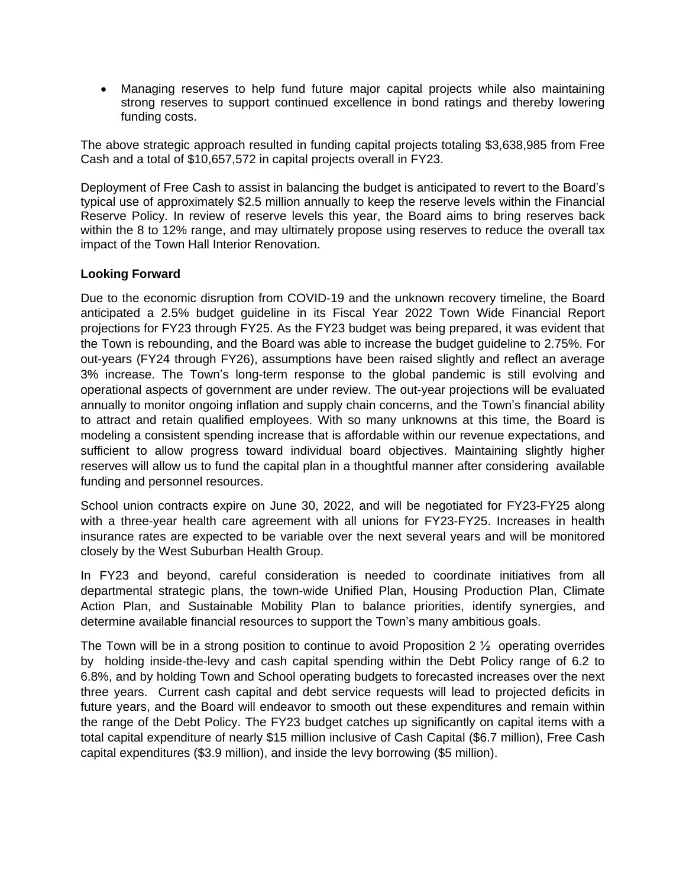Managing reserves to help fund future major capital projects while also maintaining strong reserves to support continued excellence in bond ratings and thereby lowering funding costs.

The above strategic approach resulted in funding capital projects totaling \$3,638,985 from Free Cash and a total of \$10,657,572 in capital projects overall in FY23.

Deployment of Free Cash to assist in balancing the budget is anticipated to revert to the Board's typical use of approximately \$2.5 million annually to keep the reserve levels within the Financial Reserve Policy. In review of reserve levels this year, the Board aims to bring reserves back within the 8 to 12% range, and may ultimately propose using reserves to reduce the overall tax impact of the Town Hall Interior Renovation.

### **Looking Forward**

Due to the economic disruption from COVID-19 and the unknown recovery timeline, the Board anticipated a 2.5% budget guideline in its Fiscal Year 2022 Town Wide Financial Report projections for FY23 through FY25. As the FY23 budget was being prepared, it was evident that the Town is rebounding, and the Board was able to increase the budget guideline to 2.75%. For out-years (FY24 through FY26), assumptions have been raised slightly and reflect an average 3% increase. The Town's long-term response to the global pandemic is still evolving and operational aspects of government are under review. The out-year projections will be evaluated annually to monitor ongoing inflation and supply chain concerns, and the Town's financial ability to attract and retain qualified employees. With so many unknowns at this time, the Board is modeling a consistent spending increase that is affordable within our revenue expectations, and sufficient to allow progress toward individual board objectives. Maintaining slightly higher reserves will allow us to fund the capital plan in a thoughtful manner after considering available funding and personnel resources.

School union contracts expire on June 30, 2022, and will be negotiated for FY23-FY25 along with a three-year health care agreement with all unions for FY23-FY25. Increases in health insurance rates are expected to be variable over the next several years and will be monitored closely by the West Suburban Health Group.

In FY23 and beyond, careful consideration is needed to coordinate initiatives from all departmental strategic plans, the town-wide [Unified](https://wellesleyma.gov/DocumentCenter/View/15136/Wellesley-Unified-Plan-) Plan, Housing [Production](https://wellesleyma.gov/DocumentCenter/View/14359/Town-of-Wellesley-Housing-Production-Plan) Plan, Climate Action Plan, and Sustainable Mobility Plan to balance priorities, identify synergies, and determine available financial resources to support the Town's many ambitious goals.

The Town will be in a strong position to continue to avoid Proposition 2  $\frac{1}{2}$  operating overrides by holding inside-the-levy and cash capital spending within the Debt Policy range of 6.2 to 6.8%, and by holding Town and School operating budgets to forecasted increases over the next three years. Current cash capital and debt service requests will lead to projected deficits in future years, and the Board will endeavor to smooth out these expenditures and remain within the range of the Debt Policy. The FY23 budget catches up significantly on capital items with a total capital expenditure of nearly \$15 million inclusive of Cash Capital (\$6.7 million), Free Cash capital expenditures (\$3.9 million), and inside the levy borrowing (\$5 million).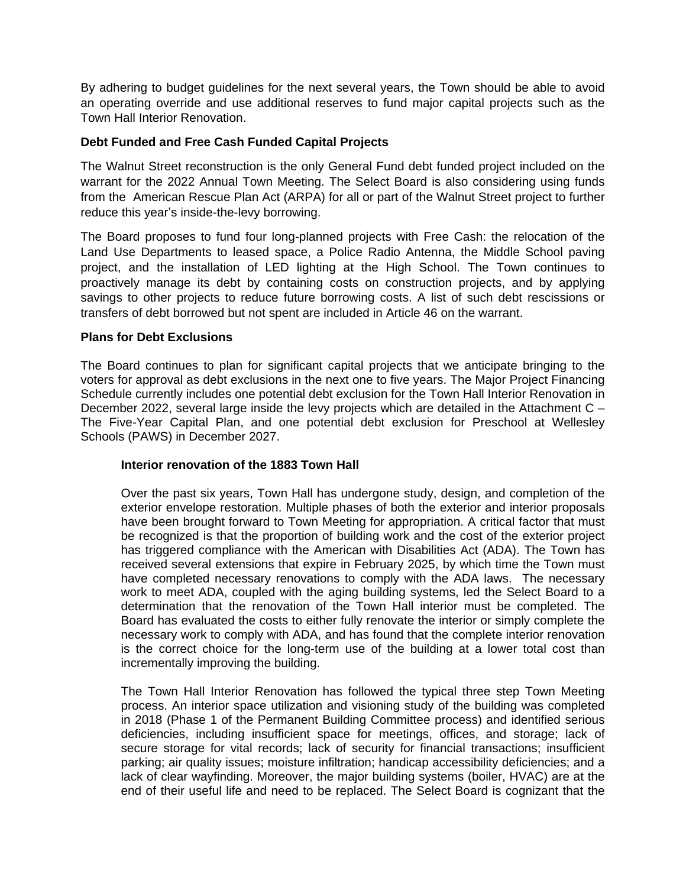By adhering to budget guidelines for the next several years, the Town should be able to avoid an operating override and use additional reserves to fund major capital projects such as the Town Hall Interior Renovation.

### **Debt Funded and Free Cash Funded Capital Projects**

The Walnut Street reconstruction is the only General Fund debt funded project included on the warrant for the 2022 Annual Town Meeting. The Select Board is also considering using funds from the American Rescue Plan Act (ARPA) for all or part of the Walnut Street project to further reduce this year's inside-the-levy borrowing.

The Board proposes to fund four long-planned projects with Free Cash: the relocation of the Land Use Departments to leased space, a Police Radio Antenna, the Middle School paving project, and the installation of LED lighting at the High School. The Town continues to proactively manage its debt by containing costs on construction projects, and by applying savings to other projects to reduce future borrowing costs. A list of such debt rescissions or transfers of debt borrowed but not spent are included in Article 46 on the warrant.

### **Plans for Debt Exclusions**

The Board continues to plan for significant capital projects that we anticipate bringing to the voters for approval as debt exclusions in the next one to five years. The Major Project Financing Schedule currently includes one potential debt exclusion for the Town Hall Interior Renovation in December 2022, several large inside the levy projects which are detailed in the Attachment C – The Five-Year Capital Plan, and one potential debt exclusion for Preschool at Wellesley Schools (PAWS) in December 2027.

### **Interior renovation of the 1883 Town Hall**

Over the past six years, Town Hall has undergone study, design, and completion of the exterior envelope restoration. Multiple phases of both the exterior and interior proposals have been brought forward to Town Meeting for appropriation. A critical factor that must be recognized is that the proportion of building work and the cost of the exterior project has triggered compliance with the American with Disabilities Act (ADA). The Town has received several extensions that expire in February 2025, by which time the Town must have completed necessary renovations to comply with the ADA laws. The necessary work to meet ADA, coupled with the aging building systems, led the Select Board to a determination that the renovation of the Town Hall interior must be completed. The Board has evaluated the costs to either fully renovate the interior or simply complete the necessary work to comply with ADA, and has found that the complete interior renovation is the correct choice for the long-term use of the building at a lower total cost than incrementally improving the building.

The Town Hall Interior Renovation has followed the typical three step Town Meeting process. An interior space utilization and visioning study of the building was completed in 2018 (Phase 1 of the Permanent Building Committee process) and identified serious deficiencies, including insufficient space for meetings, offices, and storage; lack of secure storage for vital records; lack of security for financial transactions; insufficient parking; air quality issues; moisture infiltration; handicap accessibility deficiencies; and a lack of clear wayfinding. Moreover, the major building systems (boiler, HVAC) are at the end of their useful life and need to be replaced. The Select Board is cognizant that the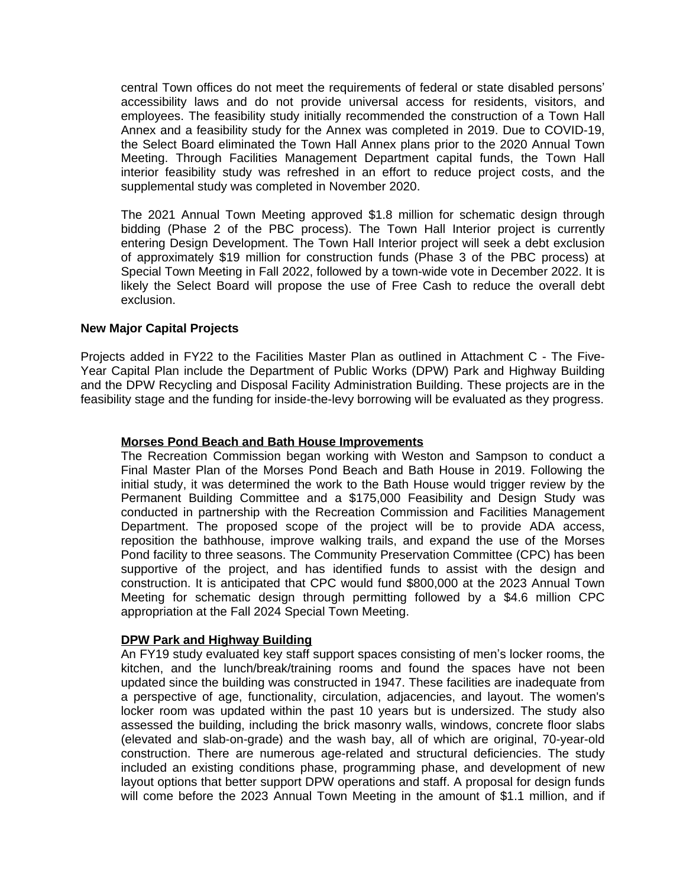central Town offices do not meet the requirements of federal or state disabled persons' accessibility laws and do not provide universal access for residents, visitors, and employees. The feasibility study initially recommended the construction of a Town Hall Annex and a feasibility study for the Annex was completed in 2019. Due to COVID-19, the Select Board eliminated the Town Hall Annex plans prior to the 2020 Annual Town Meeting. Through Facilities Management Department capital funds, the Town Hall interior feasibility study was refreshed in an effort to reduce project costs, and the supplemental study was completed in November 2020.

The 2021 Annual Town Meeting approved \$1.8 million for schematic design through bidding (Phase 2 of the PBC process). The Town Hall Interior project is currently entering Design Development. The Town Hall Interior project will seek a debt exclusion of approximately \$19 million for construction funds (Phase 3 of the PBC process) at Special Town Meeting in Fall 2022, followed by a town-wide vote in December 2022. It is likely the Select Board will propose the use of Free Cash to reduce the overall debt exclusion.

### **New Major Capital Projects**

Projects added in FY22 to the Facilities Master Plan as outlined in Attachment C - The Five-Year Capital Plan include the Department of Public Works (DPW) Park and Highway Building and the DPW Recycling and Disposal Facility Administration Building. These projects are in the feasibility stage and the funding for inside-the-levy borrowing will be evaluated as they progress.

#### **Morses Pond Beach and Bath House Improvements**

The Recreation Commission began working with Weston and Sampson to conduct a Final Master Plan of the Morses Pond Beach and Bath House in 2019. Following the initial study, it was determined the work to the Bath House would trigger review by the Permanent Building Committee and a \$175,000 Feasibility and Design Study was conducted in partnership with the Recreation Commission and Facilities Management Department. The proposed scope of the project will be to provide ADA access, reposition the bathhouse, improve walking trails, and expand the use of the Morses Pond facility to three seasons. The Community Preservation Committee (CPC) has been supportive of the project, and has identified funds to assist with the design and construction. It is anticipated that CPC would fund \$800,000 at the 2023 Annual Town Meeting for schematic design through permitting followed by a \$4.6 million CPC appropriation at the Fall 2024 Special Town Meeting.

#### **DPW Park and Highway Building**

An FY19 study evaluated key staff support spaces consisting of men's locker rooms, the kitchen, and the lunch/break/training rooms and found the spaces have not been updated since the building was constructed in 1947. These facilities are inadequate from a perspective of age, functionality, circulation, adjacencies, and layout. The women's locker room was updated within the past 10 years but is undersized. The study also assessed the building, including the brick masonry walls, windows, concrete floor slabs (elevated and slab-on-grade) and the wash bay, all of which are original, 70-year-old construction. There are numerous age-related and structural deficiencies. The study included an existing conditions phase, programming phase, and development of new layout options that better support DPW operations and staff. A proposal for design funds will come before the 2023 Annual Town Meeting in the amount of \$1.1 million, and if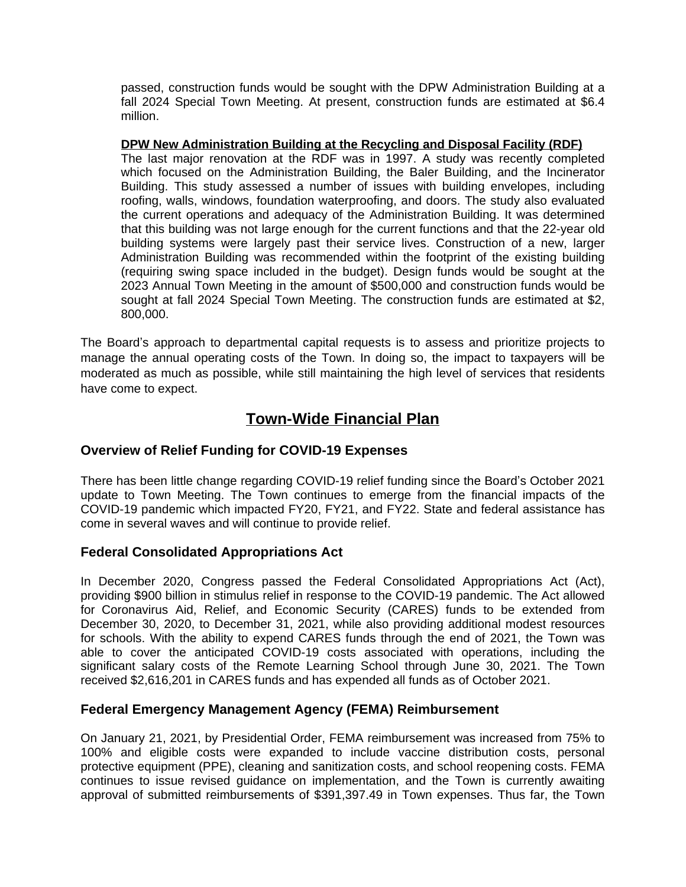passed, construction funds would be sought with the DPW Administration Building at a fall 2024 Special Town Meeting. At present, construction funds are estimated at \$6.4 million.

**DPW New Administration Building at the Recycling and Disposal Facility (RDF)** The last major renovation at the RDF was in 1997. A study was recently completed which focused on the Administration Building, the Baler Building, and the Incinerator Building. This study assessed a number of issues with building envelopes, including roofing, walls, windows, foundation waterproofing, and doors. The study also evaluated the current operations and adequacy of the Administration Building. It was determined that this building was not large enough for the current functions and that the 22-year old building systems were largely past their service lives. Construction of a new, larger Administration Building was recommended within the footprint of the existing building (requiring swing space included in the budget). Design funds would be sought at the 2023 Annual Town Meeting in the amount of \$500,000 and construction funds would be sought at fall 2024 Special Town Meeting. The construction funds are estimated at \$2, 800,000.

The Board's approach to departmental capital requests is to assess and prioritize projects to manage the annual operating costs of the Town. In doing so, the impact to taxpayers will be moderated as much as possible, while still maintaining the high level of services that residents have come to expect.

## **Town-Wide Financial Plan**

### **Overview of Relief Funding for COVID-19 Expenses**

There has been little change regarding COVID-19 relief funding since the Board's October 2021 update to Town Meeting. The Town continues to emerge from the financial impacts of the COVID-19 pandemic which impacted FY20, FY21, and FY22. State and federal assistance has come in several waves and will continue to provide relief.

### **Federal Consolidated Appropriations Act**

In December 2020, Congress passed the Federal Consolidated Appropriations Act (Act), providing \$900 billion in stimulus relief in response to the COVID-19 pandemic. The Act allowed for Coronavirus Aid, Relief, and Economic Security (CARES) funds to be extended from December 30, 2020, to December 31, 2021, while also providing additional modest resources for schools. With the ability to expend CARES funds through the end of 2021, the Town was able to cover the anticipated COVID-19 costs associated with operations, including the significant salary costs of the Remote Learning School through June 30, 2021. The Town received \$2,616,201 in CARES funds and has expended all funds as of October 2021.

### **Federal Emergency Management Agency (FEMA) Reimbursement**

On January 21, 2021, by Presidential Order, FEMA reimbursement was increased from 75% to 100% and eligible costs were expanded to include vaccine distribution costs, personal protective equipment (PPE), cleaning and sanitization costs, and school reopening costs. FEMA continues to issue revised guidance on implementation, and the Town is currently awaiting approval of submitted reimbursements of \$391,397.49 in Town expenses. Thus far, the Town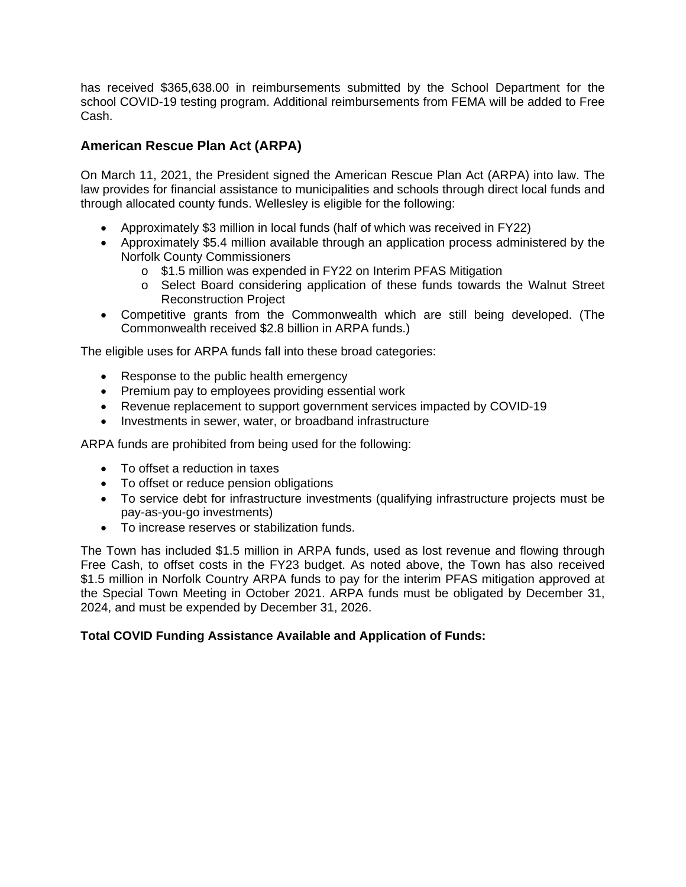has received \$365,638.00 in reimbursements submitted by the School Department for the school COVID-19 testing program. Additional reimbursements from FEMA will be added to Free Cash.

### **American Rescue Plan Act (ARPA)**

On March 11, 2021, the President signed the American Rescue Plan Act (ARPA) into law. The law provides for financial assistance to municipalities and schools through direct local funds and through allocated county funds. Wellesley is eligible for the following:

- Approximately \$3 million in local funds (half of which was received in FY22)
- Approximately \$5.4 million available through an application process administered by the Norfolk County Commissioners
	- o \$1.5 million was expended in FY22 on Interim PFAS Mitigation
	- o Select Board considering application of these funds towards the Walnut Street Reconstruction Project
- Competitive grants from the Commonwealth which are still being developed. (The Commonwealth received \$2.8 billion in ARPA funds.)

The eligible uses for ARPA funds fall into these broad categories:

- Response to the public health emergency
- Premium pay to employees providing essential work
- Revenue replacement to support government services impacted by COVID-19
- Investments in sewer, water, or broadband infrastructure

ARPA funds are prohibited from being used for the following:

- To offset a reduction in taxes
- To offset or reduce pension obligations
- To service debt for infrastructure investments (qualifying infrastructure projects must be pay-as-you-go investments)
- To increase reserves or stabilization funds.

The Town has included \$1.5 million in ARPA funds, used as lost revenue and flowing through Free Cash, to offset costs in the FY23 budget. As noted above, the Town has also received \$1.5 million in Norfolk Country ARPA funds to pay for the interim PFAS mitigation approved at the Special Town Meeting in October 2021. ARPA funds must be obligated by December 31, 2024, and must be expended by December 31, 2026.

### **Total COVID Funding Assistance Available and Application of Funds:**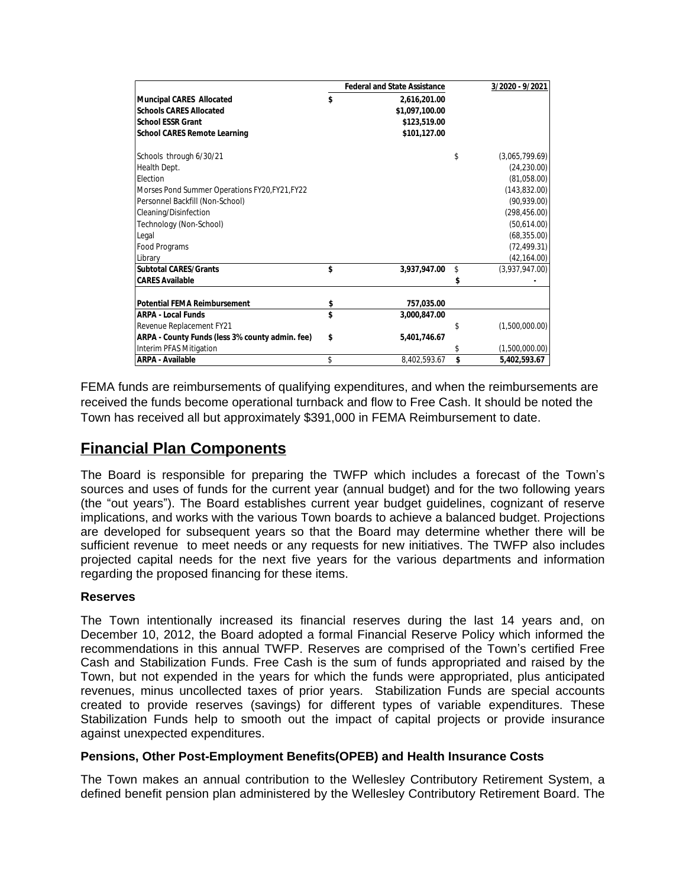|                                                 | <b>Federal and State Assistance</b> |    | 3/2020 - 9/2021 |
|-------------------------------------------------|-------------------------------------|----|-----------------|
| <b>Muncipal CARES Allocated</b>                 | \$<br>2,616,201.00                  |    |                 |
| <b>Schools CARES Allocated</b>                  | \$1,097,100.00                      |    |                 |
| <b>School ESSR Grant</b>                        | \$123,519.00                        |    |                 |
| <b>School CARES Remote Learning</b>             | \$101,127.00                        |    |                 |
| Schools through 6/30/21                         |                                     | \$ | (3,065,799.69)  |
| Health Dept.                                    |                                     |    | (24, 230.00)    |
| <b>Flection</b>                                 |                                     |    | (81,058.00)     |
| Morses Pond Summer Operations FY20, FY21, FY22  |                                     |    | (143, 832.00)   |
| Personnel Backfill (Non-School)                 |                                     |    | (90, 939.00)    |
| Cleaning/Disinfection                           |                                     |    | (298, 456.00)   |
| Technology (Non-School)                         |                                     |    | (50,614.00)     |
| Legal                                           |                                     |    | (68, 355.00)    |
| Food Programs                                   |                                     |    | (72, 499.31)    |
| Library                                         |                                     |    | (42, 164.00)    |
| <b>Subtotal CARES/Grants</b>                    | \$<br>3,937,947.00                  | \$ | (3,937,947.00)  |
| <b>CARES Available</b>                          |                                     |    |                 |
| <b>Potential FEMA Reimbursement</b>             | \$<br>757,035.00                    |    |                 |
| <b>ARPA - Local Funds</b>                       | \$<br>3.000.847.00                  |    |                 |
| Revenue Replacement FY21                        |                                     | S  | (1,500,000.00)  |
| ARPA - County Funds (less 3% county admin. fee) | \$<br>5,401,746.67                  |    |                 |
| Interim PFAS Mitigation                         |                                     |    | (1,500,000.00)  |
| <b>ARPA - Available</b>                         | \$<br>8,402,593.67                  | \$ | 5,402,593.67    |

FEMA funds are reimbursements of qualifying expenditures, and when the reimbursements are received the funds become operational turnback and flow to Free Cash. It should be noted the Town has received all but approximately \$391,000 in FEMA Reimbursement to date.

## **Financial Plan Components**

The Board is responsible for preparing the TWFP which includes a forecast of the Town's sources and uses of funds for the current year (annual budget) and for the two following years (the "out years"). The Board establishes current year budget guidelines, cognizant of reserve implications, and works with the various Town boards to achieve a balanced budget. Projections are developed for subsequent years so that the Board may determine whether there will be sufficient revenue to meet needs or any requests for new initiatives. The TWFP also includes projected capital needs for the next five years for the various departments and information regarding the proposed financing for these items.

### **Reserves**

The Town intentionally increased its financial reserves during the last 14 years and, on December 10, 2012, the Board adopted a formal Financial Reserve Policy which informed the recommendations in this annual TWFP. Reserves are comprised of the Town's certified Free Cash and Stabilization Funds. Free Cash is the sum of funds appropriated and raised by the Town, but not expended in the years for which the funds were appropriated, plus anticipated revenues, minus uncollected taxes of prior years. Stabilization Funds are special accounts created to provide reserves (savings) for different types of variable expenditures. These Stabilization Funds help to smooth out the impact of capital projects or provide insurance against unexpected expenditures.

### **Pensions, Other Post-Employment Benefits(OPEB) and Health Insurance Costs**

The Town makes an annual contribution to the Wellesley Contributory Retirement System, a defined benefit pension plan administered by the Wellesley Contributory Retirement Board. The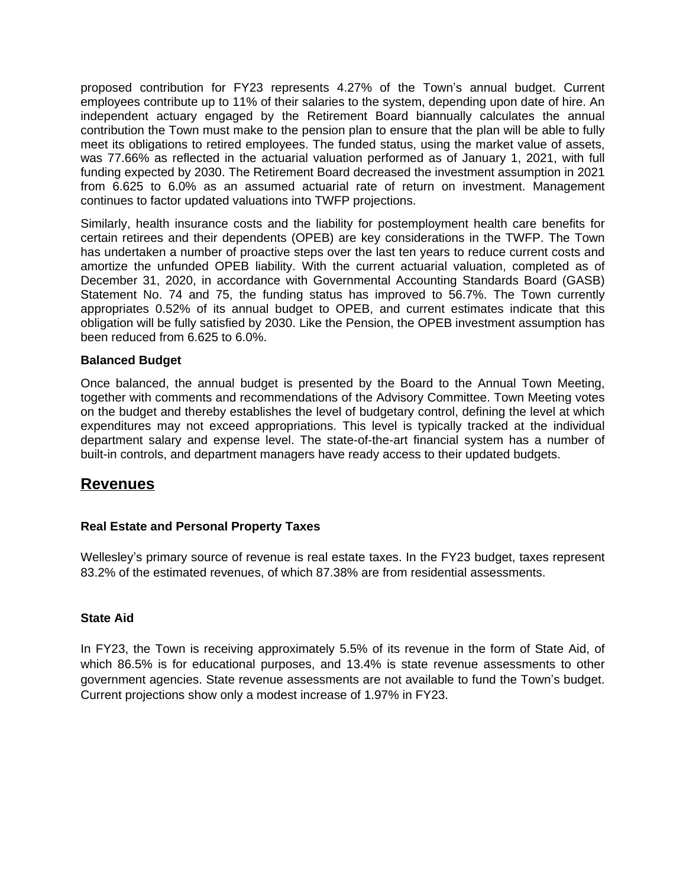proposed contribution for FY23 represents 4.27% of the Town's annual budget. Current employees contribute up to 11% of their salaries to the system, depending upon date of hire. An independent actuary engaged by the Retirement Board biannually calculates the annual contribution the Town must make to the pension plan to ensure that the plan will be able to fully meet its obligations to retired employees. The funded status, using the market value of assets, was 77.66% as reflected in the actuarial valuation performed as of January 1, 2021, with full funding expected by 2030. The Retirement Board decreased the investment assumption in 2021 from 6.625 to 6.0% as an assumed actuarial rate of return on investment. Management continues to factor updated valuations into TWFP projections.

Similarly, health insurance costs and the liability for postemployment health care benefits for certain retirees and their dependents (OPEB) are key considerations in the TWFP. The Town has undertaken a number of proactive steps over the last ten years to reduce current costs and amortize the unfunded OPEB liability. With the current actuarial valuation, completed as of December 31, 2020, in accordance with Governmental Accounting Standards Board (GASB) Statement No. 74 and 75, the funding status has improved to 56.7%. The Town currently appropriates 0.52% of its annual budget to OPEB, and current estimates indicate that this obligation will be fully satisfied by 2030. Like the Pension, the OPEB investment assumption has been reduced from 6.625 to 6.0%.

### **Balanced Budget**

Once balanced, the annual budget is presented by the Board to the Annual Town Meeting, together with comments and recommendations of the Advisory Committee. Town Meeting votes on the budget and thereby establishes the level of budgetary control, defining the level at which expenditures may not exceed appropriations. This level is typically tracked at the individual department salary and expense level. The state-of-the-art financial system has a number of built-in controls, and department managers have ready access to their updated budgets.

### **Revenues**

### **Real Estate and Personal Property Taxes**

Wellesley's primary source of revenue is real estate taxes. In the FY23 budget, taxes represent 83.2% of the estimated revenues, of which 87.38% are from residential assessments.

#### **State Aid**

In FY23, the Town is receiving approximately 5.5% of its revenue in the form of State Aid, of which 86.5% is for educational purposes, and 13.4% is state revenue assessments to other government agencies. State revenue assessments are not available to fund the Town's budget. Current projections show only a modest increase of 1.97% in FY23.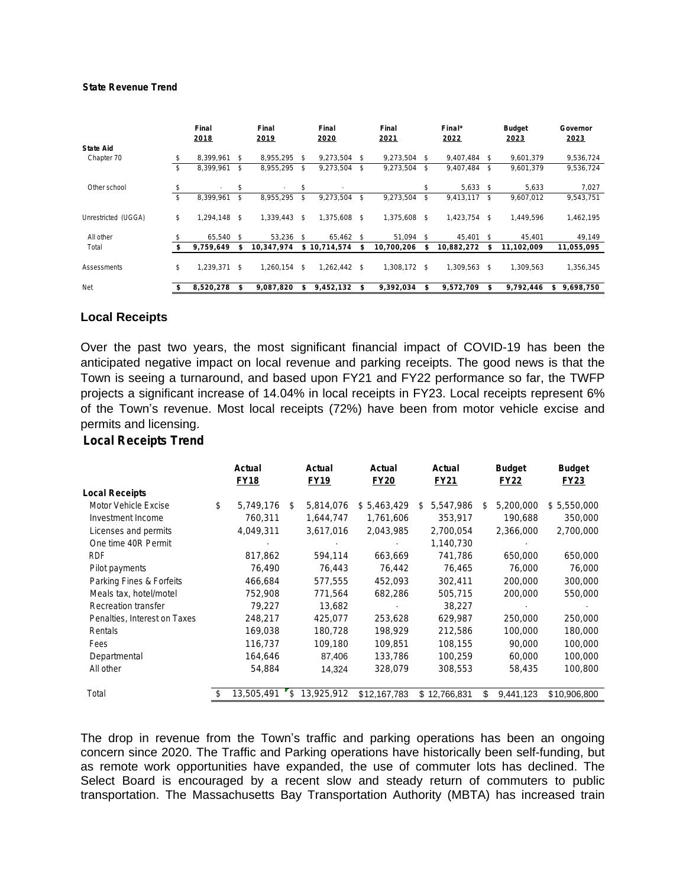#### **State Revenue Trend**

|                     |    | Final<br>2018 | Final<br>2019   |     | Final<br>Final<br>2020<br>2021 |               |            |               | Final*<br>2022 |    | <b>Budget</b><br>2023 | Governor<br>2023 |
|---------------------|----|---------------|-----------------|-----|--------------------------------|---------------|------------|---------------|----------------|----|-----------------------|------------------|
| <b>State Aid</b>    |    |               |                 |     |                                |               |            |               |                |    |                       |                  |
| Chapter 70          |    | 8,399,961     | \$<br>8,955,295 | s.  | 9,273,504                      | s.            | 9,273,504  | \$            | 9.407.484      | \$ | 9,601,379             | 9,536,724        |
|                     | \$ | 8,399,961     | \$<br>8,955,295 | s.  | 9,273,504                      | s.            | 9,273,504  | \$            | 9,407,484      | \$ | 9,601,379             | 9,536,724        |
| Other school        | S  |               | \$              | \$  |                                |               |            |               | 5,633          | Ŝ. | 5,633                 | 7,027            |
|                     | \$ | 8,399,961     | \$<br>8,955,295 | \$  | 9,273,504                      | \$            | 9,273,504  | \$            | 9,413,117      | s. | 9,607,012             | 9,543,751        |
| Unrestricted (UGGA) | \$ | 1,294,148 \$  | 1,339,443       | s.  | 1,375,608                      | -S            | 1,375,608  | \$            | 1,423,754      | s. | 1,449,596             | 1,462,195        |
| All other           |    | 65,540 \$     | 53.236          | - S | 65,462 \$                      |               | 51,094     | <sup>\$</sup> | 45,401 \$      |    | 45.401                | 49,149           |
| Total               |    | 9.759.649     | 10,347,974      |     | \$10.714.574                   |               | 10,700,206 | S             | 10,882,272     | \$ | 11.102.009            | 11,055,095       |
| Assessments         | \$ | 1,239,371 \$  | 1,260,154       | - S | 1,262,442                      | <sup>\$</sup> | 1,308,172  | \$            | 1,309,563      | \$ | 1,309,563             | 1,356,345        |
| Net                 |    | 8,520,278     | 9,087,820       |     | 9,452,132                      | \$            | 9,392,034  | \$            | 9,572,709      | \$ | 9,792,446             | 9,698,750<br>\$  |

#### **Local Receipts**

Over the past two years, the most significant financial impact of COVID-19 has been the anticipated negative impact on local revenue and parking receipts. The good news is that the Town is seeing a turnaround, and based upon FY21 and FY22 performance so far, the TWFP projects a significant increase of 14.04% in local receipts in FY23. Local receipts represent 6% of the Town's revenue. Most local receipts (72%) have been from motor vehicle excise and permits and licensing.

#### **Local Receipts Trend**

|                              | Actual<br><b>FY18</b> | Actual<br><b>FY19</b> | Actual<br><b>FY20</b> | Actual<br><b>FY21</b> |    | <b>Budget</b><br><b>FY22</b> | <b>Budget</b><br><b>FY23</b> |
|------------------------------|-----------------------|-----------------------|-----------------------|-----------------------|----|------------------------------|------------------------------|
| <b>Local Receipts</b>        |                       |                       |                       |                       |    |                              |                              |
| Motor Vehicle Excise         | \$<br>5,749,176       | \$<br>5,814,076       | \$5,463,429           | \$<br>5,547,986       | \$ | 5,200,000                    | \$5,550,000                  |
| Investment Income            | 760,311               | 1,644,747             | 1,761,606             | 353,917               |    | 190,688                      | 350,000                      |
| Licenses and permits         | 4,049,311             | 3,617,016             | 2,043,985             | 2,700,054             |    | 2,366,000                    | 2,700,000                    |
| One time 40R Permit          |                       |                       |                       | 1,140,730             |    |                              |                              |
| <b>RDF</b>                   | 817,862               | 594,114               | 663,669               | 741,786               |    | 650,000                      | 650,000                      |
| Pilot payments               | 76,490                | 76,443                | 76,442                | 76,465                |    | 76,000                       | 76,000                       |
| Parking Fines & Forfeits     | 466,684               | 577,555               | 452,093               | 302,411               |    | 200,000                      | 300,000                      |
| Meals tax, hotel/motel       | 752,908               | 771,564               | 682,286               | 505,715               |    | 200,000                      | 550,000                      |
| Recreation transfer          | 79.227                | 13,682                |                       | 38,227                |    |                              |                              |
| Penalties, Interest on Taxes | 248,217               | 425.077               | 253,628               | 629,987               |    | 250,000                      | 250,000                      |
| Rentals                      | 169,038               | 180,728               | 198.929               | 212,586               |    | 100,000                      | 180,000                      |
| Fees                         | 116,737               | 109,180               | 109,851               | 108,155               |    | 90,000                       | 100,000                      |
| Departmental                 | 164,646               | 87,406                | 133,786               | 100,259               |    | 60,000                       | 100,000                      |
| All other                    | 54,884                | 14,324                | 328,079               | 308,553               |    | 58,435                       | 100,800                      |
| Total                        | 13,505,491            | \$<br>13,925,912      | \$12,167,783          | \$12,766,831          | S  | 9,441,123                    | \$10,906,800                 |

The drop in revenue from the Town's traffic and parking operations has been an ongoing concern since 2020. The Traffic and Parking operations have historically been self-funding, but as remote work opportunities have expanded, the use of commuter lots has declined. The Select Board is encouraged by a recent slow and steady return of commuters to public transportation. The Massachusetts Bay Transportation Authority (MBTA) has increased train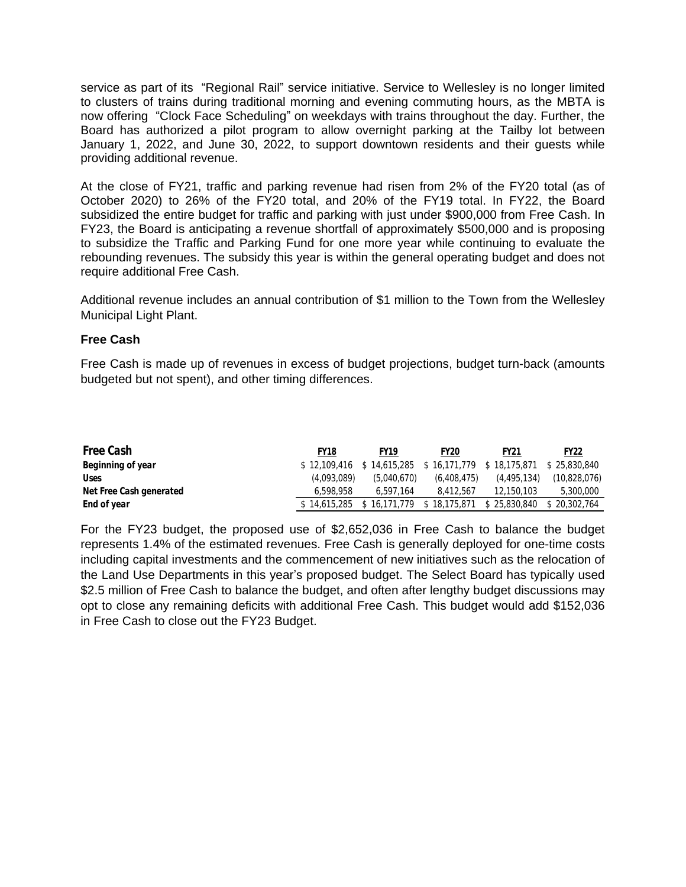service as part of its "Regional Rail" service initiative. Service to Wellesley is no longer limited to clusters of trains during traditional morning and evening commuting hours, as the MBTA is now offering "Clock Face Scheduling" on weekdays with trains throughout the day. Further, the Board has authorized a pilot program to allow overnight parking at the Tailby lot between January 1, 2022, and June 30, 2022, to support downtown residents and their guests while providing additional revenue.

At the close of FY21, traffic and parking revenue had risen from 2% of the FY20 total (as of October 2020) to 26% of the FY20 total, and 20% of the FY19 total. In FY22, the Board subsidized the entire budget for traffic and parking with just under \$900,000 from Free Cash. In FY23, the Board is anticipating a revenue shortfall of approximately \$500,000 and is proposing to subsidize the Traffic and Parking Fund for one more year while continuing to evaluate the rebounding revenues. The subsidy this year is within the general operating budget and does not require additional Free Cash.

Additional revenue includes an annual contribution of \$1 million to the Town from the Wellesley Municipal Light Plant.

### **Free Cash**

Free Cash is made up of revenues in excess of budget projections, budget turn-back (amounts budgeted but not spent), and other timing differences.

| Free Cash               | <b>FY18</b>  | <b>FY19</b>  | <b>FY20</b>  | <b>FY21</b>  | <b>FY22</b>  |
|-------------------------|--------------|--------------|--------------|--------------|--------------|
| Beginning of year       | \$12.109.416 | \$14,615,285 | \$16,171,779 | \$18,175,871 | \$25.830.840 |
| <b>Uses</b>             | (4.093.089)  | (5.040.670)  | (6.408.475)  | (4.495.134)  | (10,828,076) |
| Net Free Cash generated | 6.598.958    | 6.597.164    | 8.412.567    | 12.150.103   | 5,300,000    |
| End of year             | \$14.615.285 | 16.171.779   | \$18,175,871 | \$25,830,840 | \$20.302.764 |

For the FY23 budget, the proposed use of \$2,652,036 in Free Cash to balance the budget represents 1.4% of the estimated revenues. Free Cash is generally deployed for one-time costs including capital investments and the commencement of new initiatives such as the relocation of the Land Use Departments in this year's proposed budget. The Select Board has typically used \$2.5 million of Free Cash to balance the budget, and often after lengthy budget discussions may opt to close any remaining deficits with additional Free Cash. This budget would add \$152,036 in Free Cash to close out the FY23 Budget.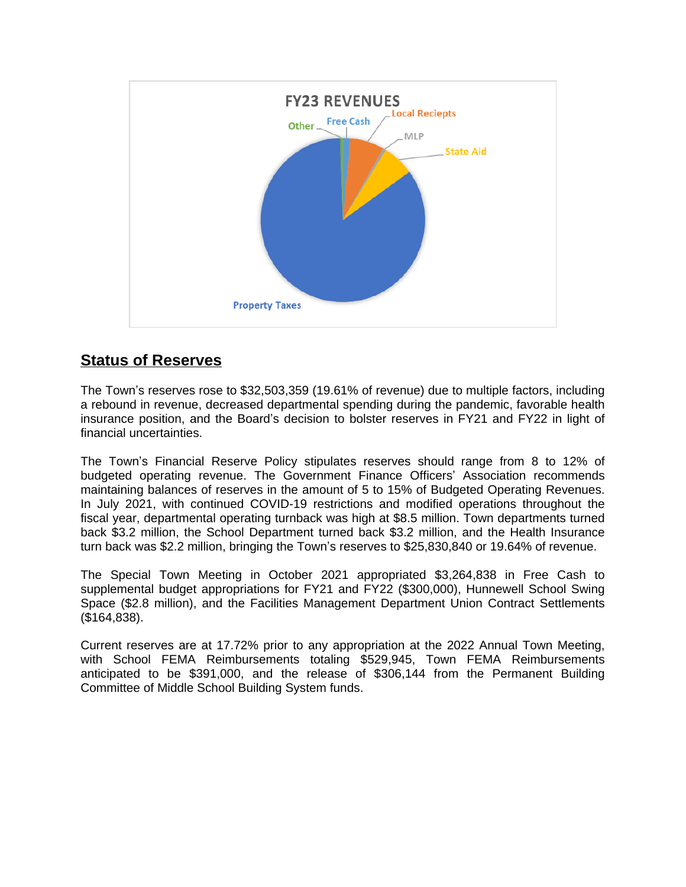

## **Status of Reserves**

The Town's reserves rose to \$32,503,359 (19.61% of revenue) due to multiple factors, including a rebound in revenue, decreased departmental spending during the pandemic, favorable health insurance position, and the Board's decision to bolster reserves in FY21 and FY22 in light of financial uncertainties.

The Town's Financial Reserve Policy stipulates reserves should range from 8 to 12% of budgeted operating revenue. The Government Finance Officers' Association recommends maintaining balances of reserves in the amount of 5 to 15% of Budgeted Operating Revenues. In July 2021, with continued COVID-19 restrictions and modified operations throughout the fiscal year, departmental operating turnback was high at \$8.5 million. Town departments turned back \$3.2 million, the School Department turned back \$3.2 million, and the Health Insurance turn back was \$2.2 million, bringing the Town's reserves to \$25,830,840 or 19.64% of revenue.

The Special Town Meeting in October 2021 appropriated \$3,264,838 in Free Cash to supplemental budget appropriations for FY21 and FY22 (\$300,000), Hunnewell School Swing Space (\$2.8 million), and the Facilities Management Department Union Contract Settlements (\$164,838).

Current reserves are at 17.72% prior to any appropriation at the 2022 Annual Town Meeting, with School FEMA Reimbursements totaling \$529,945, Town FEMA Reimbursements anticipated to be \$391,000, and the release of \$306,144 from the Permanent Building Committee of Middle School Building System funds.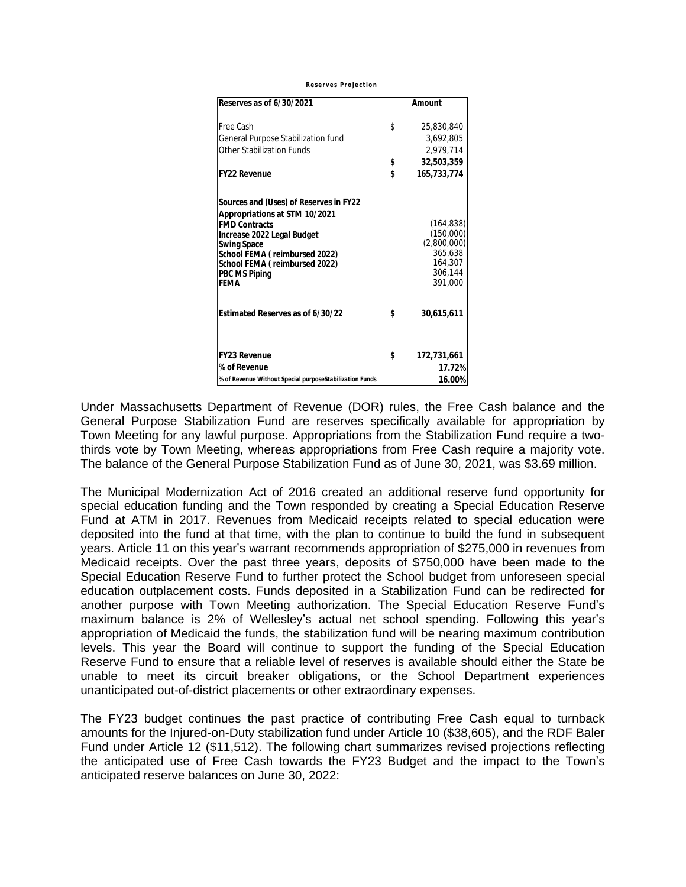*Reserves Projection*

| Reserves as of 6/30/2021                                | Amount             |
|---------------------------------------------------------|--------------------|
| Free Cash                                               | \$<br>25,830,840   |
| General Purpose Stabilization fund                      | 3.692.805          |
| Other Stabilization Funds                               | 2,979,714          |
|                                                         | \$<br>32,503,359   |
| <b>FY22 Revenue</b>                                     | \$<br>165,733,774  |
| Sources and (Uses) of Reserves in FY22                  |                    |
| Appropriations at STM 10/2021<br><b>FMD Contracts</b>   | (164,838)          |
| Increase 2022 Legal Budget                              | (150,000)          |
| <b>Swing Space</b>                                      | (2,800,000)        |
| School FEMA (reimbursed 2022)                           | 365,638            |
| School FEMA (reimbursed 2022)                           | 164.307<br>306.144 |
| <b>PBC MS Piping</b><br><b>FFMA</b>                     | 391,000            |
|                                                         |                    |
| Estimated Reserves as of 6/30/22                        | \$<br>30,615,611   |
| <b>FY23 Revenue</b>                                     | \$<br>172,731,661  |
| % of Revenue                                            | 17.72%             |
| % of Revenue Without Special purposeStabilization Funds | 16.00%             |

Under Massachusetts Department of Revenue (DOR) rules, the Free Cash balance and the General Purpose Stabilization Fund are reserves specifically available for appropriation by Town Meeting for any lawful purpose. Appropriations from the Stabilization Fund require a twothirds vote by Town Meeting, whereas appropriations from Free Cash require a majority vote. The balance of the General Purpose Stabilization Fund as of June 30, 2021, was \$3.69 million.

The Municipal Modernization Act of 2016 created an additional reserve fund opportunity for special education funding and the Town responded by creating a Special Education Reserve Fund at ATM in 2017. Revenues from Medicaid receipts related to special education were deposited into the fund at that time, with the plan to continue to build the fund in subsequent years. Article 11 on this year's warrant recommends appropriation of \$275,000 in revenues from Medicaid receipts. Over the past three years, deposits of \$750,000 have been made to the Special Education Reserve Fund to further protect the School budget from unforeseen special education outplacement costs. Funds deposited in a Stabilization Fund can be redirected for another purpose with Town Meeting authorization. The Special Education Reserve Fund's maximum balance is 2% of Wellesley's actual net school spending. Following this year's appropriation of Medicaid the funds, the stabilization fund will be nearing maximum contribution levels. This year the Board will continue to support the funding of the Special Education Reserve Fund to ensure that a reliable level of reserves is available should either the State be unable to meet its circuit breaker obligations, or the School Department experiences unanticipated out-of-district placements or other extraordinary expenses.

The FY23 budget continues the past practice of contributing Free Cash equal to turnback amounts for the Injured-on-Duty stabilization fund under Article 10 (\$38,605), and the RDF Baler Fund under Article 12 (\$11,512). The following chart summarizes revised projections reflecting the anticipated use of Free Cash towards the FY23 Budget and the impact to the Town's anticipated reserve balances on June 30, 2022: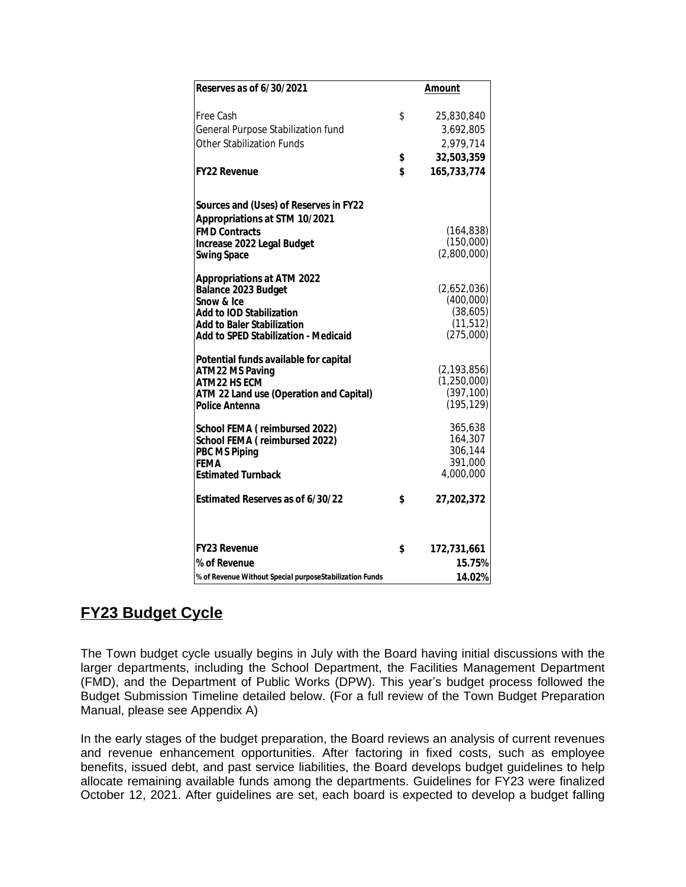| Reserves as of 6/30/2021                                         | <b>Amount</b> |                          |  |  |  |  |  |
|------------------------------------------------------------------|---------------|--------------------------|--|--|--|--|--|
|                                                                  |               |                          |  |  |  |  |  |
| Free Cash                                                        | \$            | 25,830,840               |  |  |  |  |  |
| General Purpose Stabilization fund                               |               | 3,692,805                |  |  |  |  |  |
| <b>Other Stabilization Funds</b>                                 |               | 2,979,714                |  |  |  |  |  |
|                                                                  | \$            | 32,503,359               |  |  |  |  |  |
| <b>FY22 Revenue</b>                                              | \$            | 165,733,774              |  |  |  |  |  |
| Sources and (Uses) of Reserves in FY22                           |               |                          |  |  |  |  |  |
| Appropriations at STM 10/2021                                    |               |                          |  |  |  |  |  |
| <b>FMD Contracts</b>                                             |               | (164, 838)               |  |  |  |  |  |
| Increase 2022 Legal Budget                                       |               | (150,000)                |  |  |  |  |  |
| <b>Swing Space</b>                                               |               | (2,800,000)              |  |  |  |  |  |
| <b>Appropriations at ATM 2022</b>                                |               |                          |  |  |  |  |  |
| Balance 2023 Budget                                              |               | (2,652,036)              |  |  |  |  |  |
| Snow & Ice<br><b>Add to IOD Stabilization</b>                    |               | (400,000)<br>(38,605)    |  |  |  |  |  |
| <b>Add to Baler Stabilization</b>                                |               | (11, 512)                |  |  |  |  |  |
| Add to SPED Stabilization - Medicaid                             |               | (275,000)                |  |  |  |  |  |
| Potential funds available for capital                            |               |                          |  |  |  |  |  |
| <b>ATM22 MS Paving</b>                                           |               | (2, 193, 856)            |  |  |  |  |  |
| <b>ATM22 HS ECM</b>                                              |               | (1,250,000)              |  |  |  |  |  |
| ATM 22 Land use (Operation and Capital)<br><b>Police Antenna</b> |               | (397, 100)<br>(195, 129) |  |  |  |  |  |
|                                                                  |               |                          |  |  |  |  |  |
| School FEMA (reimbursed 2022)                                    |               | 365,638                  |  |  |  |  |  |
| School FEMA (reimbursed 2022)                                    |               | 164,307<br>306.144       |  |  |  |  |  |
| <b>PBC MS Piping</b><br><b>FEMA</b>                              |               | 391,000                  |  |  |  |  |  |
| <b>Estimated Turnback</b>                                        |               | 4,000,000                |  |  |  |  |  |
| Estimated Reserves as of 6/30/22                                 | \$            | 27,202,372               |  |  |  |  |  |
| <b>FY23 Revenue</b>                                              | \$            | 172,731,661              |  |  |  |  |  |
| % of Revenue                                                     |               | 15.75%                   |  |  |  |  |  |
| % of Revenue Without Special purposeStabilization Funds          |               | 14.02%                   |  |  |  |  |  |

## **FY23 Budget Cycle**

The Town budget cycle usually begins in July with the Board having initial discussions with the larger departments, including the School Department, the Facilities Management Department (FMD), and the Department of Public Works (DPW). This year's budget process followed the Budget Submission Timeline detailed below. (For a full review of the Town Budget Preparation Manual, please see Appendix A)

In the early stages of the budget preparation, the Board reviews an analysis of current revenues and revenue enhancement opportunities. After factoring in fixed costs, such as employee benefits, issued debt, and past service liabilities, the Board develops budget guidelines to help allocate remaining available funds among the departments. Guidelines for FY23 were finalized October 12, 2021. After guidelines are set, each board is expected to develop a budget falling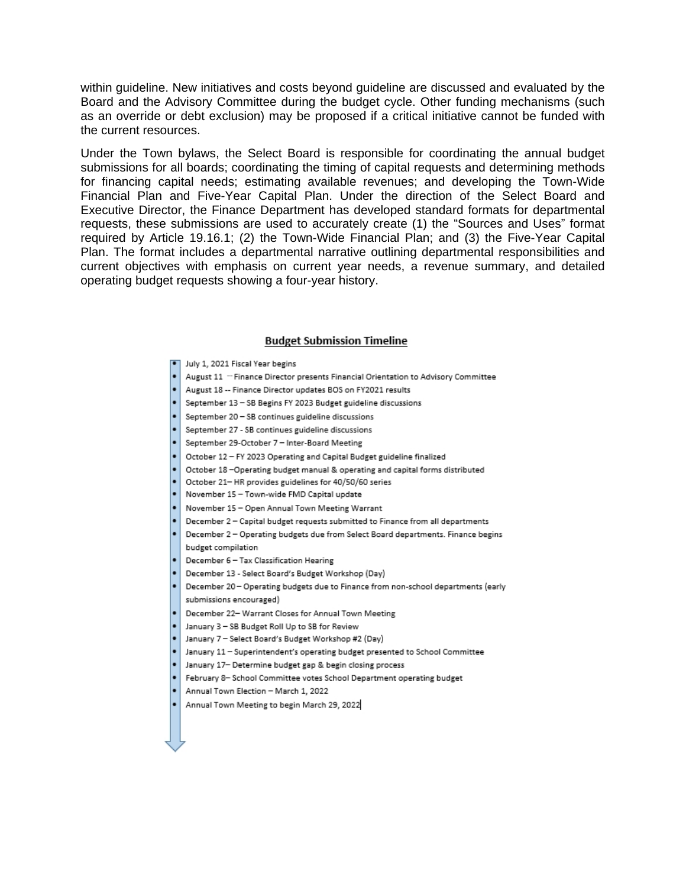within guideline. New initiatives and costs beyond guideline are discussed and evaluated by the Board and the Advisory Committee during the budget cycle. Other funding mechanisms (such as an override or debt exclusion) may be proposed if a critical initiative cannot be funded with the current resources.

Under the Town bylaws, the Select Board is responsible for coordinating the annual budget submissions for all boards; coordinating the timing of capital requests and determining methods for financing capital needs; estimating available revenues; and developing the Town-Wide Financial Plan and Five-Year Capital Plan. Under the direction of the Select Board and Executive Director, the Finance Department has developed standard formats for departmental requests, these submissions are used to accurately create (1) the "Sources and Uses" format required by Article 19.16.1; (2) the Town-Wide Financial Plan; and (3) the Five-Year Capital Plan. The format includes a departmental narrative outlining departmental responsibilities and current objectives with emphasis on current year needs, a revenue summary, and detailed operating budget requests showing a four-year history.

#### **Budget Submission Timeline**

- July 1, 2021 Fiscal Year begins
- August 11 "Finance Director presents Financial Orientation to Advisory Committee
- August 18 -- Finance Director updates BOS on FY2021 results
- September 13 SB Begins FY 2023 Budget guideline discussions
- September 20 SB continues guideline discussions
- September 27 SB continues guideline discussions
- September 29-October 7 Inter-Board Meeting
- October 12 FY 2023 Operating and Capital Budget guideline finalized
- October 18-Operating budget manual & operating and capital forms distributed
- October 21-HR provides guidelines for 40/50/60 series
- November 15 Town-wide FMD Capital update
- November 15 Open Annual Town Meeting Warrant
- December 2 Capital budget requests submitted to Finance from all departments
- December 2 Operating budgets due from Select Board departments. Finance begins budget compilation
- December 6 Tax Classification Hearing
- December 13 Select Board's Budget Workshop (Day)
- December 20 Operating budgets due to Finance from non-school departments (early submissions encouraged)
- December 22- Warrant Closes for Annual Town Meeting
- January 3 SB Budget Roll Up to SB for Review
- January 7 Select Board's Budget Workshop #2 (Day)
- January 11 Superintendent's operating budget presented to School Committee
- January 17- Determine budget gap & begin closing process
- February 8- School Committee votes School Department operating budget
- Annual Town Election March 1, 2022
- Annual Town Meeting to begin March 29, 2022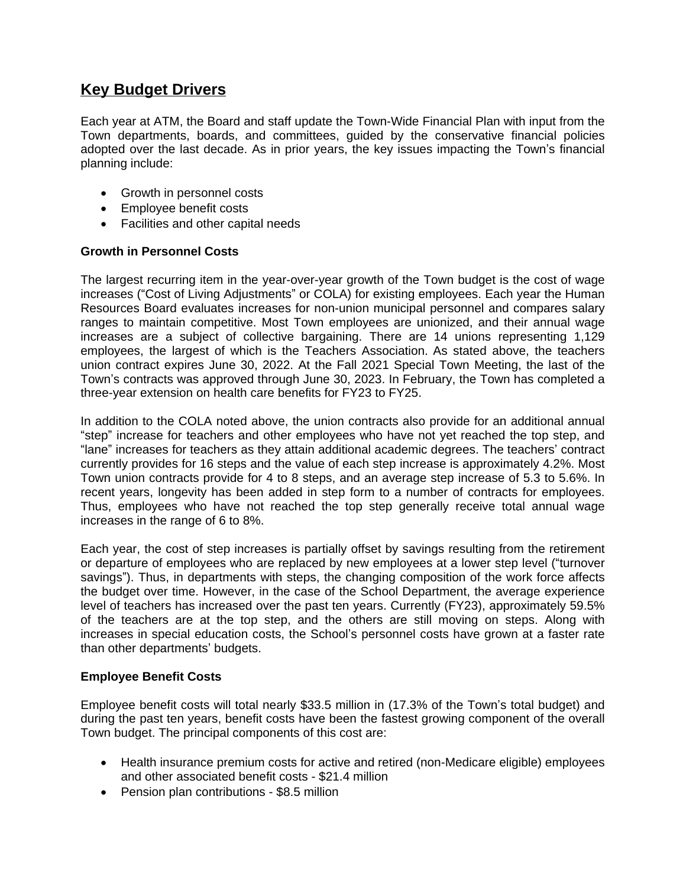## **Key Budget Drivers**

Each year at ATM, the Board and staff update the Town-Wide Financial Plan with input from the Town departments, boards, and committees, guided by the conservative financial policies adopted over the last decade. As in prior years, the key issues impacting the Town's financial planning include:

- Growth in personnel costs
- Employee benefit costs
- Facilities and other capital needs

### **Growth in Personnel Costs**

The largest recurring item in the year-over-year growth of the Town budget is the cost of wage increases ("Cost of Living Adjustments" or COLA) for existing employees. Each year the Human Resources Board evaluates increases for non-union municipal personnel and compares salary ranges to maintain competitive. Most Town employees are unionized, and their annual wage increases are a subject of collective bargaining. There are 14 unions representing 1,129 employees, the largest of which is the Teachers Association. As stated above, the teachers union contract expires June 30, 2022. At the Fall 2021 Special Town Meeting, the last of the Town's contracts was approved through June 30, 2023. In February, the Town has completed a three-year extension on health care benefits for FY23 to FY25.

In addition to the COLA noted above, the union contracts also provide for an additional annual "step" increase for teachers and other employees who have not yet reached the top step, and "lane" increases for teachers as they attain additional academic degrees. The teachers' contract currently provides for 16 steps and the value of each step increase is approximately 4.2%. Most Town union contracts provide for 4 to 8 steps, and an average step increase of 5.3 to 5.6%. In recent years, longevity has been added in step form to a number of contracts for employees. Thus, employees who have not reached the top step generally receive total annual wage increases in the range of 6 to 8%.

Each year, the cost of step increases is partially offset by savings resulting from the retirement or departure of employees who are replaced by new employees at a lower step level ("turnover savings"). Thus, in departments with steps, the changing composition of the work force affects the budget over time. However, in the case of the School Department, the average experience level of teachers has increased over the past ten years. Currently (FY23), approximately 59.5% of the teachers are at the top step, and the others are still moving on steps. Along with increases in special education costs, the School's personnel costs have grown at a faster rate than other departments' budgets.

#### **Employee Benefit Costs**

Employee benefit costs will total nearly \$33.5 million in (17.3% of the Town's total budget) and during the past ten years, benefit costs have been the fastest growing component of the overall Town budget. The principal components of this cost are:

- Health insurance premium costs for active and retired (non-Medicare eligible) employees and other associated benefit costs - \$21.4 million
- Pension plan contributions \$8.5 million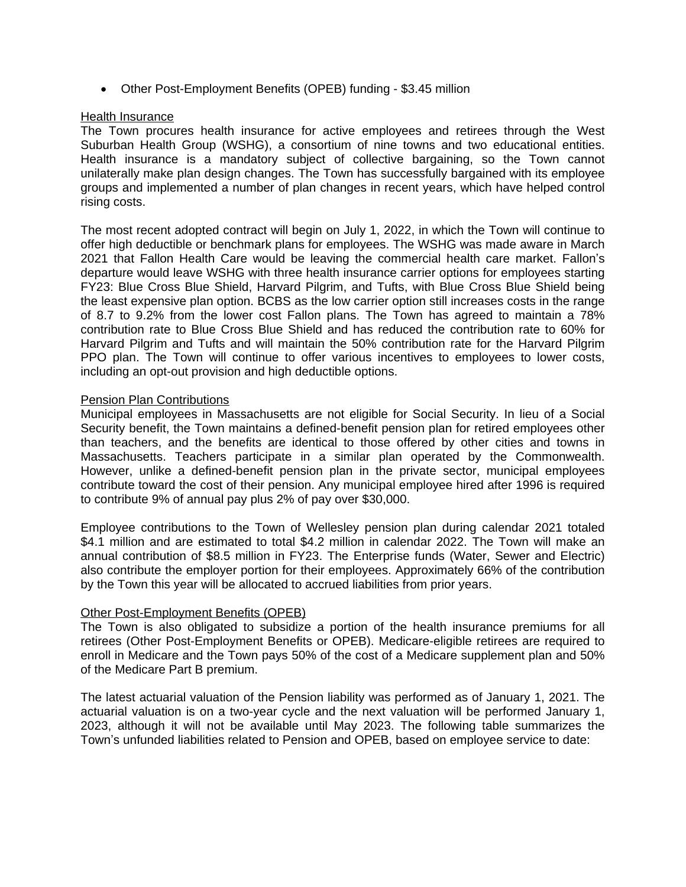Other Post-Employment Benefits (OPEB) funding - \$3.45 million

#### Health Insurance

The Town procures health insurance for active employees and retirees through the West Suburban Health Group (WSHG), a consortium of nine towns and two educational entities. Health insurance is a mandatory subject of collective bargaining, so the Town cannot unilaterally make plan design changes. The Town has successfully bargained with its employee groups and implemented a number of plan changes in recent years, which have helped control rising costs.

The most recent adopted contract will begin on July 1, 2022, in which the Town will continue to offer high deductible or benchmark plans for employees. The WSHG was made aware in March 2021 that Fallon Health Care would be leaving the commercial health care market. Fallon's departure would leave WSHG with three health insurance carrier options for employees starting FY23: Blue Cross Blue Shield, Harvard Pilgrim, and Tufts, with Blue Cross Blue Shield being the least expensive plan option. BCBS as the low carrier option still increases costs in the range of 8.7 to 9.2% from the lower cost Fallon plans. The Town has agreed to maintain a 78% contribution rate to Blue Cross Blue Shield and has reduced the contribution rate to 60% for Harvard Pilgrim and Tufts and will maintain the 50% contribution rate for the Harvard Pilgrim PPO plan. The Town will continue to offer various incentives to employees to lower costs, including an opt-out provision and high deductible options.

### Pension Plan Contributions

Municipal employees in Massachusetts are not eligible for Social Security. In lieu of a Social Security benefit, the Town maintains a defined-benefit pension plan for retired employees other than teachers, and the benefits are identical to those offered by other cities and towns in Massachusetts. Teachers participate in a similar plan operated by the Commonwealth. However, unlike a defined-benefit pension plan in the private sector, municipal employees contribute toward the cost of their pension. Any municipal employee hired after 1996 is required to contribute 9% of annual pay plus 2% of pay over \$30,000.

Employee contributions to the Town of Wellesley pension plan during calendar 2021 totaled \$4.1 million and are estimated to total \$4.2 million in calendar 2022. The Town will make an annual contribution of \$8.5 million in FY23. The Enterprise funds (Water, Sewer and Electric) also contribute the employer portion for their employees. Approximately 66% of the contribution by the Town this year will be allocated to accrued liabilities from prior years.

### Other Post-Employment Benefits (OPEB)

The Town is also obligated to subsidize a portion of the health insurance premiums for all retirees (Other Post-Employment Benefits or OPEB). Medicare-eligible retirees are required to enroll in Medicare and the Town pays 50% of the cost of a Medicare supplement plan and 50% of the Medicare Part B premium.

The latest actuarial valuation of the Pension liability was performed as of January 1, 2021. The actuarial valuation is on a two-year cycle and the next valuation will be performed January 1, 2023, although it will not be available until May 2023. The following table summarizes the Town's unfunded liabilities related to Pension and OPEB, based on employee service to date: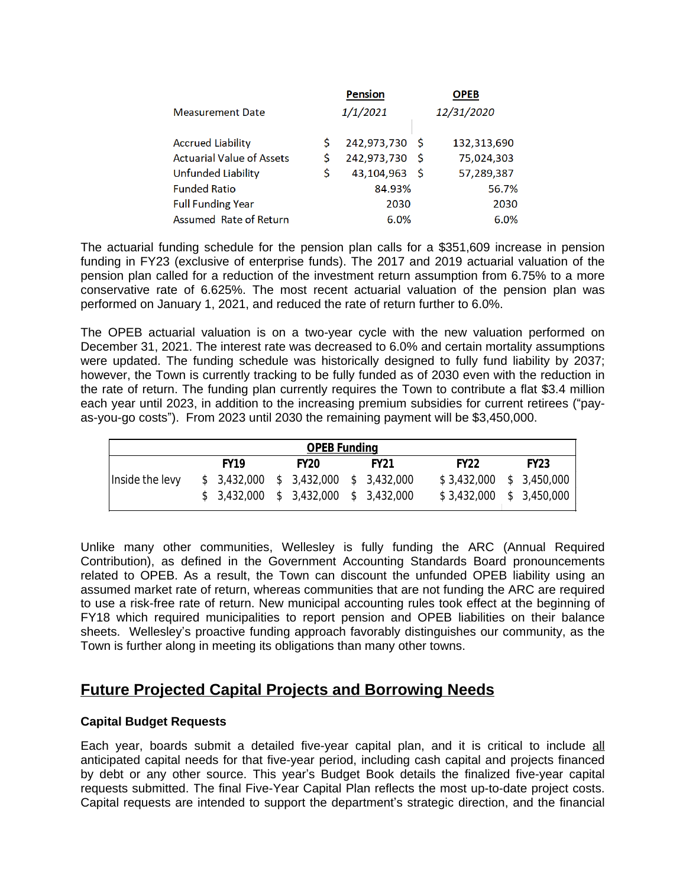|                                  |    | <b>Pension</b> |     | <b>OPEB</b> |
|----------------------------------|----|----------------|-----|-------------|
| <b>Measurement Date</b>          |    | 1/1/2021       |     | 12/31/2020  |
| <b>Accrued Liability</b>         | S  | 242,973,730    | - S | 132,313,690 |
| <b>Actuarial Value of Assets</b> | \$ | 242,973,730    | - S | 75,024,303  |
| Unfunded Liability               | Ś  | 43,104,963     | - S | 57,289,387  |
| <b>Funded Ratio</b>              |    | 84.93%         |     | 56.7%       |
| <b>Full Funding Year</b>         |    | 2030           |     | 2030        |
| Assumed Rate of Return           |    | 6.0%           |     | 6.0%        |

The actuarial funding schedule for the pension plan calls for a \$351,609 increase in pension funding in FY23 (exclusive of enterprise funds). The 2017 and 2019 actuarial valuation of the pension plan called for a reduction of the investment return assumption from 6.75% to a more conservative rate of 6.625%. The most recent actuarial valuation of the pension plan was performed on January 1, 2021, and reduced the rate of return further to 6.0%.

The OPEB actuarial valuation is on a two-year cycle with the new valuation performed on December 31, 2021. The interest rate was decreased to 6.0% and certain mortality assumptions were updated. The funding schedule was historically designed to fully fund liability by 2037; however, the Town is currently tracking to be fully funded as of 2030 even with the reduction in the rate of return. The funding plan currently requires the Town to contribute a flat \$3.4 million each year until 2023, in addition to the increasing premium subsidies for current retirees ("payas-you-go costs"). From 2023 until 2030 the remaining payment will be \$3,450,000.

| <b>OPEB Funding</b> |  |                                        |  |                  |  |             |  |      |  |                           |  |  |  |
|---------------------|--|----------------------------------------|--|------------------|--|-------------|--|------|--|---------------------------|--|--|--|
|                     |  | <b>FY19</b>                            |  | FY <sub>20</sub> |  | <b>FY21</b> |  | FY22 |  | <b>FY23</b>               |  |  |  |
| Inside the levy     |  | $$3,432,000$ $$3,432,000$ $$3,432,000$ |  |                  |  |             |  |      |  | $$3,432,000$ $$3,450,000$ |  |  |  |
|                     |  | $$3,432,000$ $$3,432,000$ $$3,432,000$ |  |                  |  |             |  |      |  | $$3,432,000$ $$3,450,000$ |  |  |  |

Unlike many other communities, Wellesley is fully funding the ARC (Annual Required Contribution), as defined in the Government Accounting Standards Board pronouncements related to OPEB. As a result, the Town can discount the unfunded OPEB liability using an assumed market rate of return, whereas communities that are not funding the ARC are required to use a risk-free rate of return. New municipal accounting rules took effect at the beginning of FY18 which required municipalities to report pension and OPEB liabilities on their balance sheets. Wellesley's proactive funding approach favorably distinguishes our community, as the Town is further along in meeting its obligations than many other towns.

## **Future Projected Capital Projects and Borrowing Needs**

### **Capital Budget Requests**

Each year, boards submit a detailed five-year capital plan, and it is critical to include all anticipated capital needs for that five-year period, including cash capital and projects financed by debt or any other source. This year's Budget Book details the finalized five-year capital requests submitted. The final Five-Year Capital Plan reflects the most up-to-date project costs. Capital requests are intended to support the department's strategic direction, and the financial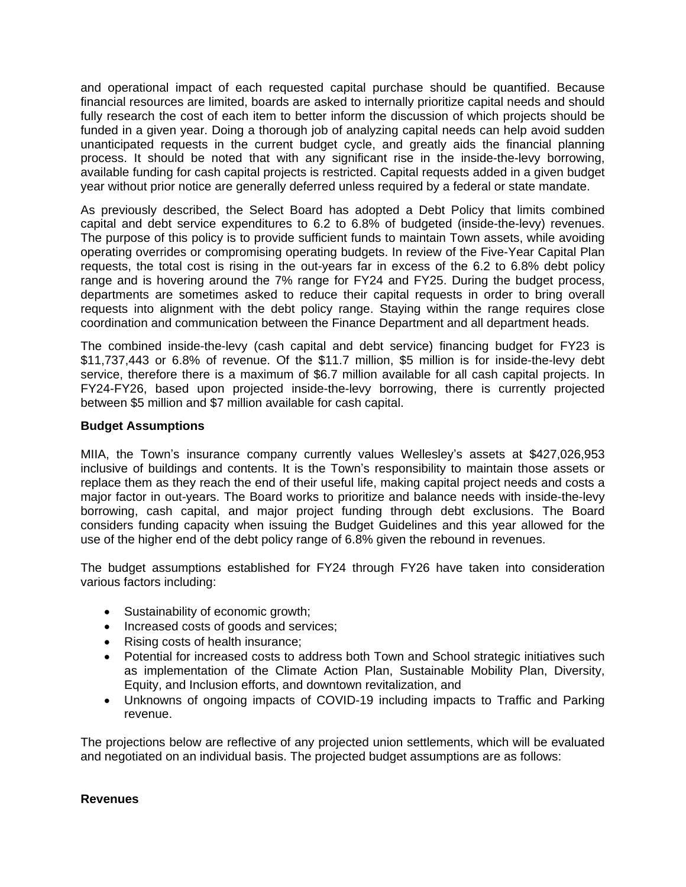and operational impact of each requested capital purchase should be quantified. Because financial resources are limited, boards are asked to internally prioritize capital needs and should fully research the cost of each item to better inform the discussion of which projects should be funded in a given year. Doing a thorough job of analyzing capital needs can help avoid sudden unanticipated requests in the current budget cycle, and greatly aids the financial planning process. It should be noted that with any significant rise in the inside-the-levy borrowing, available funding for cash capital projects is restricted. Capital requests added in a given budget year without prior notice are generally deferred unless required by a federal or state mandate.

As previously described, the Select Board has adopted a Debt Policy that limits combined capital and debt service expenditures to 6.2 to 6.8% of budgeted (inside-the-levy) revenues. The purpose of this policy is to provide sufficient funds to maintain Town assets, while avoiding operating overrides or compromising operating budgets. In review of the Five-Year Capital Plan requests, the total cost is rising in the out-years far in excess of the 6.2 to 6.8% debt policy range and is hovering around the 7% range for FY24 and FY25. During the budget process, departments are sometimes asked to reduce their capital requests in order to bring overall requests into alignment with the debt policy range. Staying within the range requires close coordination and communication between the Finance Department and all department heads.

The combined inside-the-levy (cash capital and debt service) financing budget for FY23 is \$11,737,443 or 6.8% of revenue. Of the \$11.7 million, \$5 million is for inside-the-levy debt service, therefore there is a maximum of \$6.7 million available for all cash capital projects. In FY24-FY26, based upon projected inside-the-levy borrowing, there is currently projected between \$5 million and \$7 million available for cash capital.

### **Budget Assumptions**

MIIA, the Town's insurance company currently values Wellesley's assets at \$427,026,953 inclusive of buildings and contents. It is the Town's responsibility to maintain those assets or replace them as they reach the end of their useful life, making capital project needs and costs a major factor in out-years. The Board works to prioritize and balance needs with inside-the-levy borrowing, cash capital, and major project funding through debt exclusions. The Board considers funding capacity when issuing the Budget Guidelines and this year allowed for the use of the higher end of the debt policy range of 6.8% given the rebound in revenues.

The budget assumptions established for FY24 through FY26 have taken into consideration various factors including:

- Sustainability of economic growth;
- Increased costs of goods and services;
- Rising costs of health insurance;
- Potential for increased costs to address both Town and School strategic initiatives such as implementation of the Climate Action Plan, Sustainable Mobility Plan, Diversity, Equity, and Inclusion efforts, and downtown revitalization, and
- Unknowns of ongoing impacts of COVID-19 including impacts to Traffic and Parking revenue.

The projections below are reflective of any projected union settlements, which will be evaluated and negotiated on an individual basis. The projected budget assumptions are as follows:

#### **Revenues**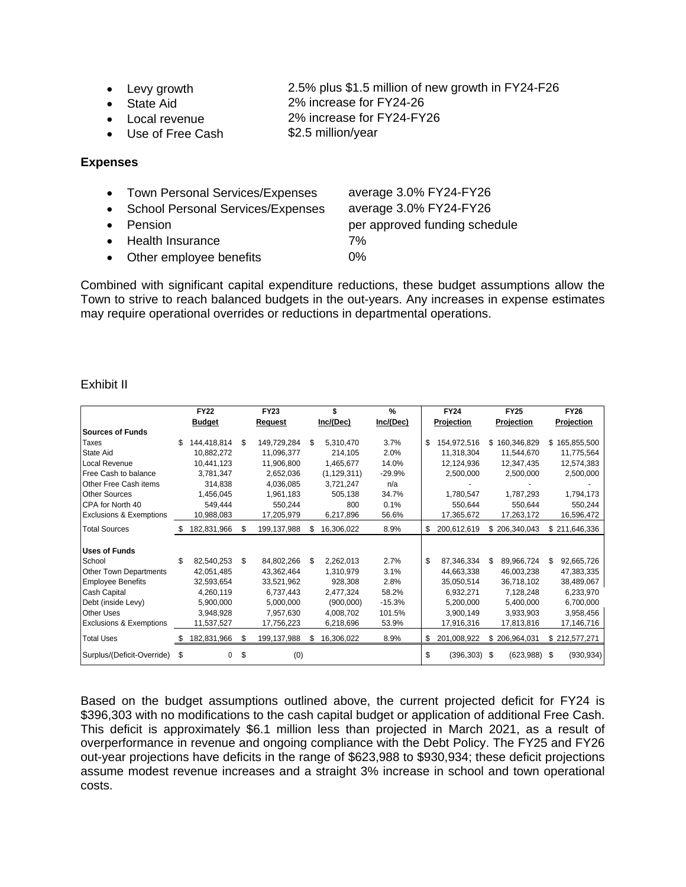- Levy growth 2.5% plus \$1.5 million of new growth in FY24-F26
- State Aid 2% increase for FY24-26
	- Local revenue 2% increase for FY24-FY26
- Use of Free Cash \$2.5 million/year

### **Expenses**

- Town Personal Services/Expenses average 3.0% FY24-FY26 • School Personal Services/Expenses average 3.0% FY24-FY26
- 
- Health Insurance 7%
- Other employee benefits 0%

• Pension **per approved funding schedule** 

Combined with significant capital expenditure reductions, these budget assumptions allow the Town to strive to reach balanced budgets in the out-years. Any increases in expense estimates may require operational overrides or reductions in departmental operations.

### Exhibit II

|                                    |    | <b>FY22</b>   | <b>FY23</b>       |     |               | $\frac{9}{6}$ | <b>FY24</b>       | <b>FY25</b> |               |    | <b>FY26</b>   |
|------------------------------------|----|---------------|-------------------|-----|---------------|---------------|-------------------|-------------|---------------|----|---------------|
|                                    |    | <b>Budget</b> | <b>Request</b>    |     | Inc/(Dec)     | Inc/(Dec)     | Projection        |             | Projection    |    | Projection    |
| <b>Sources of Funds</b>            |    |               |                   |     |               |               |                   |             |               |    |               |
| Taxes                              | \$ | 144,418,814   | \$<br>149,729,284 | \$  | 5,310,470     | 3.7%          | \$<br>154,972,516 |             | \$160,346,829 |    | \$165,855,500 |
| <b>State Aid</b>                   |    | 10,882,272    | 11,096,377        |     | 214,105       | 2.0%          | 11,318,304        |             | 11,544,670    |    | 11,775,564    |
| Local Revenue                      |    | 10,441,123    | 11,906,800        |     | 1,465,677     | 14.0%         | 12,124,936        |             | 12,347,435    |    | 12,574,383    |
| Free Cash to balance               |    | 3,781,347     | 2,652,036         |     | (1, 129, 311) | $-29.9%$      | 2,500,000         |             | 2,500,000     |    | 2,500,000     |
| Other Free Cash items              |    | 314,838       | 4,036,085         |     | 3,721,247     | n/a           |                   |             |               |    |               |
| Other Sources                      |    | 1,456,045     | 1,961,183         |     | 505,138       | 34.7%         | 1,780,547         |             | 1,787,293     |    | 1,794,173     |
| CPA for North 40                   |    | 549,444       | 550,244           |     | 800           | 0.1%          | 550,644           |             | 550,644       |    | 550,244       |
| <b>Exclusions &amp; Exemptions</b> |    | 10,988,083    | 17,205,979        |     | 6,217,896     | 56.6%         | 17,365,672        |             | 17,263,172    |    | 16,596,472    |
| <b>Total Sources</b>               |    | 182,831,966   | \$<br>199,137,988 | \$. | 16,306,022    | 8.9%          | \$<br>200,612,619 |             | \$206,340,043 |    | \$211,646,336 |
|                                    |    |               |                   |     |               |               |                   |             |               |    |               |
| <b>Uses of Funds</b>               |    |               |                   |     |               |               |                   |             |               |    |               |
| School                             | \$ | 82,540,253    | \$<br>84,802,266  | \$  | 2,262,013     | 2.7%          | \$<br>87,346,334  | \$          | 89,966,724    | \$ | 92,665,726    |
| Other Town Departments             |    | 42,051,485    | 43,362,464        |     | 1,310,979     | 3.1%          | 44,663,338        |             | 46,003,238    |    | 47,383,335    |
| <b>Employee Benefits</b>           |    | 32,593,654    | 33,521,962        |     | 928,308       | 2.8%          | 35,050,514        |             | 36,718,102    |    | 38,489,067    |
| Cash Capital                       |    | 4,260,119     | 6,737,443         |     | 2,477,324     | 58.2%         | 6,932,271         |             | 7,128,248     |    | 6,233,970     |
| Debt (inside Levy)                 |    | 5,900,000     | 5,000,000         |     | (900,000)     | $-15.3%$      | 5,200,000         |             | 5,400,000     |    | 6,700,000     |
| <b>Other Uses</b>                  |    | 3,948,928     | 7,957,630         |     | 4,008,702     | 101.5%        | 3,900,149         |             | 3,933,903     |    | 3,958,456     |
| <b>Exclusions &amp; Exemptions</b> |    | 11,537,527    | 17,756,223        |     | 6,218,696     | 53.9%         | 17,916,316        |             | 17,813,816    |    | 17,146,716    |
| <b>Total Uses</b>                  | æ. | 182,831,966   | \$<br>199,137,988 | S   | 16,306,022    | 8.9%          | \$<br>201,008,922 |             | \$206,964,031 |    | \$212,577,271 |
| Surplus/(Deficit-Override)         | \$ | $\Omega$      | \$<br>(0)         |     |               |               | \$<br>(396, 303)  | \$          | (623,988)     | \$ | (930, 934)    |

Based on the budget assumptions outlined above, the current projected deficit for FY24 is \$396,303 with no modifications to the cash capital budget or application of additional Free Cash. This deficit is approximately \$6.1 million less than projected in March 2021, as a result of overperformance in revenue and ongoing compliance with the Debt Policy. The FY25 and FY26 out-year projections have deficits in the range of \$623,988 to \$930,934; these deficit projections assume modest revenue increases and a straight 3% increase in school and town operational costs.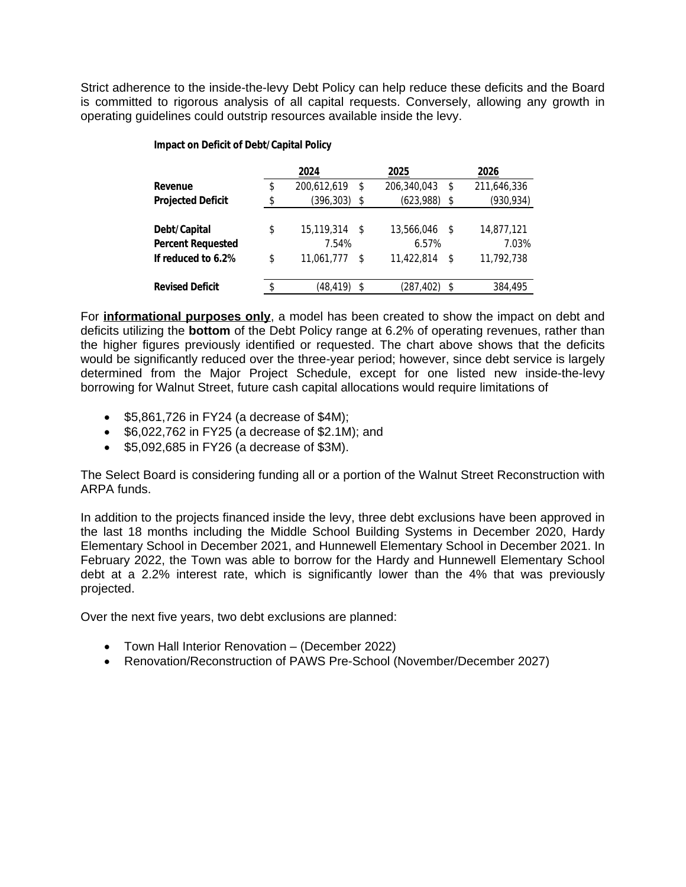Strict adherence to the inside-the-levy Debt Policy can help reduce these deficits and the Board is committed to rigorous analysis of all capital requests. Conversely, allowing any growth in operating guidelines could outstrip resources available inside the levy.

#### **Impact on Deficit of Debt/Capital Policy**

|                          | 2024              |      | 2025        |    | 2026        |
|--------------------------|-------------------|------|-------------|----|-------------|
| Revenue                  | \$<br>200,612,619 | \$   | 206,340,043 | \$ | 211,646,336 |
| <b>Projected Deficit</b> | \$<br>(396, 303)  | S    | (623,988)   | \$ | (930, 934)  |
|                          |                   |      |             |    |             |
| Debt/Capital             | \$<br>15,119,314  | - \$ | 13,566,046  | S  | 14,877,121  |
| <b>Percent Requested</b> | 7.54%             |      | 6.57%       |    | 7.03%       |
| If reduced to 6.2%       | \$<br>11,061,777  | S    | 11,422,814  | S  | 11,792,738  |
|                          |                   |      |             |    |             |
| <b>Revised Deficit</b>   | \$<br>(48.419)    | \$   | (287,402)   | S  | 384,495     |

For **informational purposes only**, a model has been created to show the impact on debt and deficits utilizing the **bottom** of the Debt Policy range at 6.2% of operating revenues, rather than the higher figures previously identified or requested. The chart above shows that the deficits would be significantly reduced over the three-year period; however, since debt service is largely determined from the Major Project Schedule, except for one listed new inside-the-levy borrowing for Walnut Street, future cash capital allocations would require limitations of

- $\bullet$  \$5,861,726 in FY24 (a decrease of \$4M);
- $\bullet$  \$6,022,762 in FY25 (a decrease of \$2.1M); and
- $\bullet$  \$5,092,685 in FY26 (a decrease of \$3M).

The Select Board is considering funding all or a portion of the Walnut Street Reconstruction with ARPA funds.

In addition to the projects financed inside the levy, three debt exclusions have been approved in the last 18 months including the Middle School Building Systems in December 2020, Hardy Elementary School in December 2021, and Hunnewell Elementary School in December 2021. In February 2022, the Town was able to borrow for the Hardy and Hunnewell Elementary School debt at a 2.2% interest rate, which is significantly lower than the 4% that was previously projected.

Over the next five years, two debt exclusions are planned:

- Town Hall Interior Renovation (December 2022)
- Renovation/Reconstruction of PAWS Pre-School (November/December 2027)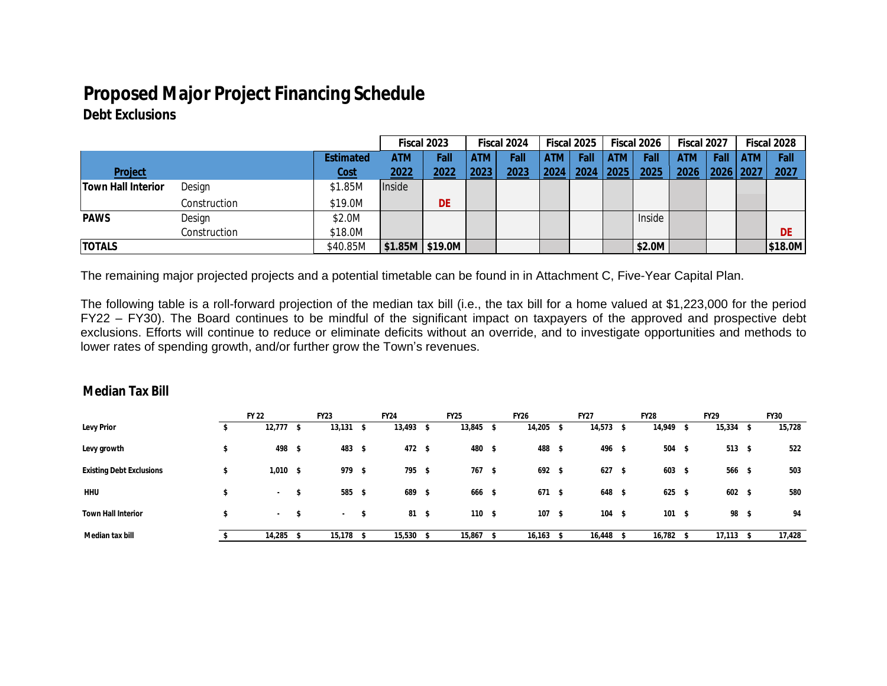# **Proposed Major Project Financing Schedule**

## **Debt Exclusions**

|                           |                  |             | Fiscal 2023 |                   |      | Fiscal 2024 |      | Fiscal 2025 |      | Fiscal 2026 | Fiscal 2027 |            |      | Fiscal 2028 |
|---------------------------|------------------|-------------|-------------|-------------------|------|-------------|------|-------------|------|-------------|-------------|------------|------|-------------|
|                           | <b>Estimated</b> | ATM         | Fall        | <b>ATM</b>        | Fall | <b>ATM</b>  | Fall | <b>ATM</b>  | Fall | <b>ATM</b>  | Fall        | <b>ATM</b> | Fall |             |
| Project                   |                  | <u>Cost</u> | 2022        | 2022              | 2023 | 2023        | 2024 | 2024 2025   |      | 2025        | 2026        | 2026 2027  |      | 2027        |
| <b>Town Hall Interior</b> | Design           | \$1.85M     | Inside      |                   |      |             |      |             |      |             |             |            |      |             |
|                           | Construction     | \$19.0M     |             | <b>DE</b>         |      |             |      |             |      |             |             |            |      |             |
| <b>PAWS</b>               | Design           | \$2.0M      |             |                   |      |             |      |             |      | Inside      |             |            |      |             |
|                           | Construction     | \$18.0M     |             |                   |      |             |      |             |      |             |             |            |      | <b>DE</b>   |
| <b>TOTALS</b>             |                  | \$40.85M    |             | $$1.85M$ $$19.0M$ |      |             |      |             |      | \$2.0M      |             |            |      | \$18.0M     |

The remaining major projected projects and a potential timetable can be found in in Attachment C, Five-Year Capital Plan.

The following table is a roll-forward projection of the median tax bill (i.e., the tax bill for a home valued at \$1,223,000 for the period FY22 – FY30). The Board continues to be mindful of the significant impact on taxpayers of the approved and prospective debt exclusions. Efforts will continue to reduce or eliminate deficits without an override, and to investigate opportunities and methods to lower rates of spending growth, and/or further grow the Town's revenues.

### **Median Tax Bill**

|                                 | <b>FY 22</b> |      | <b>FY23</b> |              | <b>FY24</b> | <b>FY25</b>    |      | <b>FY26</b> |      | <b>FY27</b>    | <b>FY28</b> |      | <b>FY29</b>    | <b>FY30</b> |
|---------------------------------|--------------|------|-------------|--------------|-------------|----------------|------|-------------|------|----------------|-------------|------|----------------|-------------|
| <b>Levy Prior</b>               | 12,777       |      | 13,131      | $\mathbf{v}$ | $13,493$ \$ | 13,845         | - \$ | 14,205      | - 5  | $14,573$ \$    | 14,949      | s    | $15,334$ \$    | 15,728      |
| Levy growth                     | 498          | - \$ | 483 \$      |              | 472 \$      | 480            | - \$ | 488         | -S   | 496 \$         | 504         | \$   | $513$ \$       | 522         |
| <b>Existing Debt Exclusions</b> | $1,010$ \$   |      | 979 \$      |              | 795 \$      | 767            | - \$ | 692 \$      |      | 627S           | 603         | - \$ | $566$ \$       | 503         |
| <b>HHU</b>                      | $\sim$       | Ŝ.   | 585 \$      |              | 689 \$      | 666 \$         |      | 671         | - \$ | 648 \$         | 625         | - \$ | $602 \quad$ \$ | 580         |
| <b>Town Hall Interior</b>       | $\sim$       | -S   | $\sim$      | - 5          | 81 \$       | $110 \quad$ \$ |      | 107         | - \$ | $104 \quad$ \$ | 101         | -\$  | 98 \$          | 94          |
| Median tax bill                 | 14,285       |      | 15,178      |              | 15,530      | 15,867         |      | 16,163      |      | 16,448         | 16,782      |      | 17,113         | 17,428      |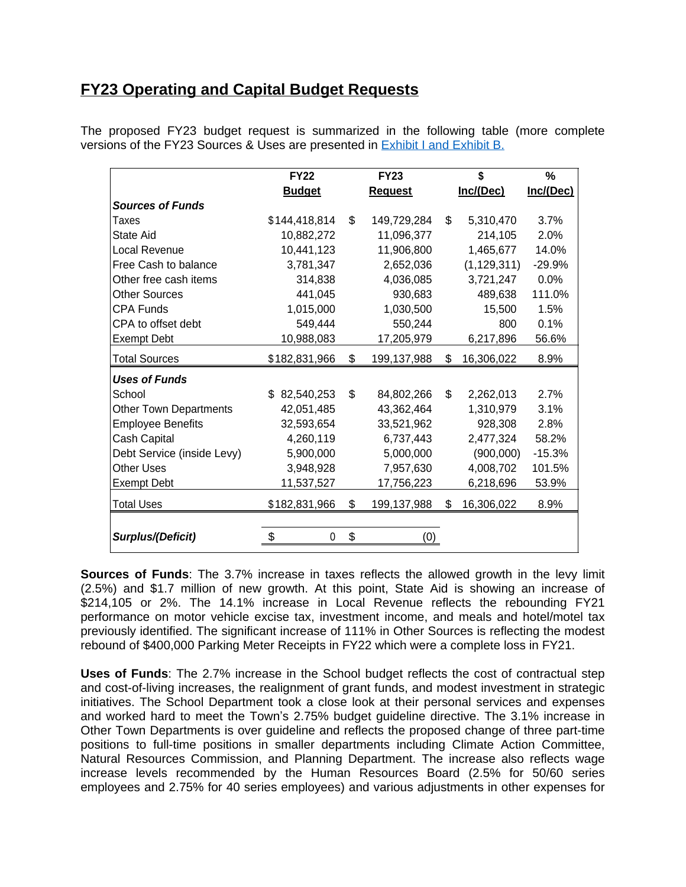## **FY23 Operating and Capital Budget Requests**

|                               | <b>FY22</b>                    | <b>FY23</b>       | \$               | %         |
|-------------------------------|--------------------------------|-------------------|------------------|-----------|
|                               | <b>Budget</b>                  | <b>Request</b>    | Inc/(Dec)        | Inc/(Dec) |
| <b>Sources of Funds</b>       |                                |                   |                  |           |
| Taxes                         | \$144,418,814                  | \$<br>149,729,284 | \$<br>5,310,470  | 3.7%      |
| State Aid                     | 10,882,272                     | 11,096,377        | 214,105          | 2.0%      |
| Local Revenue                 | 10,441,123                     | 11,906,800        | 1,465,677        | 14.0%     |
| Free Cash to balance          | 3,781,347                      | 2,652,036         | (1, 129, 311)    | $-29.9%$  |
| Other free cash items         | 314,838                        | 4,036,085         | 3,721,247        | 0.0%      |
| <b>Other Sources</b>          | 441,045                        | 930,683           | 489,638          | 111.0%    |
| <b>CPA Funds</b>              | 1,015,000                      | 1,030,500         | 15,500           | 1.5%      |
| CPA to offset debt            | 549,444                        | 550,244           | 800              | 0.1%      |
| <b>Exempt Debt</b>            | 10,988,083                     | 17,205,979        | 6,217,896        | 56.6%     |
| <b>Total Sources</b>          | \$182,831,966                  | \$<br>199,137,988 | \$<br>16,306,022 | 8.9%      |
| <b>Uses of Funds</b>          |                                |                   |                  |           |
| School                        | $\mathbf{s}$<br>82,540,253     | \$<br>84,802,266  | \$<br>2,262,013  | 2.7%      |
| <b>Other Town Departments</b> | 42,051,485                     | 43,362,464        | 1,310,979        | 3.1%      |
| <b>Employee Benefits</b>      | 32,593,654                     | 33,521,962        | 928,308          | 2.8%      |
| Cash Capital                  | 4,260,119                      | 6,737,443         | 2,477,324        | 58.2%     |
| Debt Service (inside Levy)    | 5,900,000                      | 5,000,000         | (900,000)        | $-15.3%$  |
| <b>Other Uses</b>             | 3,948,928                      | 7,957,630         | 4,008,702        | 101.5%    |
| <b>Exempt Debt</b>            | 11,537,527                     | 17,756,223        | 6,218,696        | 53.9%     |
| <b>Total Uses</b>             | \$182,831,966                  | \$<br>199,137,988 | \$<br>16,306,022 | 8.9%      |
|                               |                                |                   |                  |           |
| Surplus/(Deficit)             | $\boldsymbol{\mathsf{S}}$<br>0 | \$<br>(0)         |                  |           |

The proposed FY23 budget request is summarized in the following table (more complete versions of the FY23 Sources & Uses are presented in [Exhibit I and Exhibit B.](https://wellesleyma.gov/DocumentCenter/View/27428/Fiscal-2023-Sources-and-Uses)

**[Sources](https://wellesleyma.gov/DocumentCenter/View/27428/Fiscal-2023-Sources-and-Uses) of Funds**: [The](https://wellesleyma.gov/DocumentCenter/View/27428/Fiscal-2023-Sources-and-Uses) 3.[7%](https://wellesleyma.gov/DocumentCenter/View/27428/Fiscal-2023-Sources-and-Uses) [increase](https://wellesleyma.gov/DocumentCenter/View/27428/Fiscal-2023-Sources-and-Uses) in [t](https://wellesleyma.gov/DocumentCenter/View/27428/Fiscal-2023-Sources-and-Uses)axes reflects the [allowed](https://wellesleyma.gov/DocumentCenter/View/27428/Fiscal-2023-Sources-and-Uses) growth in the levy limit [\(2.5%\)](https://wellesleyma.gov/DocumentCenter/View/27428/Fiscal-2023-Sources-and-Uses) and \$1.[7](https://wellesleyma.gov/DocumentCenter/View/27428/Fiscal-2023-Sources-and-Uses) million of new [growth.](https://wellesleyma.gov/DocumentCenter/View/27428/Fiscal-2023-Sources-and-Uses) At this point[,](https://wellesleyma.gov/DocumentCenter/View/27428/Fiscal-2023-Sources-and-Uses) State Aid is [showing](https://wellesleyma.gov/DocumentCenter/View/27428/Fiscal-2023-Sources-and-Uses) an incre[ase](https://wellesleyma.gov/DocumentCenter/View/27428/Fiscal-2023-Sources-and-Uses) of [\\$214,105](https://wellesleyma.gov/DocumentCenter/View/27428/Fiscal-2023-Sources-and-Uses) or [2%.](https://wellesleyma.gov/DocumentCenter/View/27428/Fiscal-2023-Sources-and-Uses) [The](https://wellesleyma.gov/DocumentCenter/View/27428/Fiscal-2023-Sources-and-Uses) [14.1%](https://wellesleyma.gov/DocumentCenter/View/27428/Fiscal-2023-Sources-and-Uses) [increase](https://wellesleyma.gov/DocumentCenter/View/27428/Fiscal-2023-Sources-and-Uses) in Local [Revenue](https://wellesleyma.gov/DocumentCenter/View/27428/Fiscal-2023-Sources-and-Uses) reflects [the](https://wellesleyma.gov/DocumentCenter/View/27428/Fiscal-2023-Sources-and-Uses) [rebounding](https://wellesleyma.gov/DocumentCenter/View/27428/Fiscal-2023-Sources-and-Uses) FY21 [performance](https://wellesleyma.gov/DocumentCenter/View/27428/Fiscal-2023-Sources-and-Uses) on motor vehicle excise tax, investment income, and meals and [hotel/motel](https://wellesleyma.gov/DocumentCenter/View/27428/Fiscal-2023-Sources-and-Uses) tax [previously](https://wellesleyma.gov/DocumentCenter/View/27428/Fiscal-2023-Sources-and-Uses) identified. The significant [increase](https://wellesleyma.gov/DocumentCenter/View/27428/Fiscal-2023-Sources-and-Uses) [of](https://wellesleyma.gov/DocumentCenter/View/27428/Fiscal-2023-Sources-and-Uses) [111](https://wellesleyma.gov/DocumentCenter/View/27428/Fiscal-2023-Sources-and-Uses)% in Other Sources is [reflecting](https://wellesleyma.gov/DocumentCenter/View/27428/Fiscal-2023-Sources-and-Uses) the [modest](https://wellesleyma.gov/DocumentCenter/View/27428/Fiscal-2023-Sources-and-Uses) [rebound of \\$400,000 Parking Meter Receipts in FY22](https://wellesleyma.gov/DocumentCenter/View/27428/Fiscal-2023-Sources-and-Uses) [which were a complete loss in FY21.](https://wellesleyma.gov/DocumentCenter/View/27428/Fiscal-2023-Sources-and-Uses)

**Uses of [Funds](https://wellesleyma.gov/DocumentCenter/View/27428/Fiscal-2023-Sources-and-Uses)**: [The](https://wellesleyma.gov/DocumentCenter/View/27428/Fiscal-2023-Sources-and-Uses) [2.7%](https://wellesleyma.gov/DocumentCenter/View/27428/Fiscal-2023-Sources-and-Uses) [increase](https://wellesleyma.gov/DocumentCenter/View/27428/Fiscal-2023-Sources-and-Uses) in the [School](https://wellesleyma.gov/DocumentCenter/View/27428/Fiscal-2023-Sources-and-Uses) budget reflects the cost of [contractual](https://wellesleyma.gov/DocumentCenter/View/27428/Fiscal-2023-Sources-and-Uses) step and [cost-of-living](https://wellesleyma.gov/DocumentCenter/View/27428/Fiscal-2023-Sources-and-Uses) increases, the [realignment](https://wellesleyma.gov/DocumentCenter/View/27428/Fiscal-2023-Sources-and-Uses) of grant funds, and modest investment in strategic [initiatives.](https://wellesleyma.gov/DocumentCenter/View/27428/Fiscal-2023-Sources-and-Uses) The [School](https://wellesleyma.gov/DocumentCenter/View/27428/Fiscal-2023-Sources-and-Uses) [Department](https://wellesleyma.gov/DocumentCenter/View/27428/Fiscal-2023-Sources-and-Uses) [took](https://wellesleyma.gov/DocumentCenter/View/27428/Fiscal-2023-Sources-and-Uses) a [close](https://wellesleyma.gov/DocumentCenter/View/27428/Fiscal-2023-Sources-and-Uses) look at their personal services and [expenses](https://wellesleyma.gov/DocumentCenter/View/27428/Fiscal-2023-Sources-and-Uses) and [worked](https://wellesleyma.gov/DocumentCenter/View/27428/Fiscal-2023-Sources-and-Uses) hard to meet the Town's 2[.75%](https://wellesleyma.gov/DocumentCenter/View/27428/Fiscal-2023-Sources-and-Uses) budget [guideline](https://wellesleyma.gov/DocumentCenter/View/27428/Fiscal-2023-Sources-and-Uses) directive. [The](https://wellesleyma.gov/DocumentCenter/View/27428/Fiscal-2023-Sources-and-Uses) [3.1](https://wellesleyma.gov/DocumentCenter/View/27428/Fiscal-2023-Sources-and-Uses)% [increase](https://wellesleyma.gov/DocumentCenter/View/27428/Fiscal-2023-Sources-and-Uses) in Other Town [Departments](https://wellesleyma.gov/DocumentCenter/View/27428/Fiscal-2023-Sources-and-Uses) is over [guideline](https://wellesleyma.gov/DocumentCenter/View/27428/Fiscal-2023-Sources-and-Uses) and reflects the [proposed](https://wellesleyma.gov/DocumentCenter/View/27428/Fiscal-2023-Sources-and-Uses) change of three [part-time](https://wellesleyma.gov/DocumentCenter/View/27428/Fiscal-2023-Sources-and-Uses) [positions](https://wellesleyma.gov/DocumentCenter/View/27428/Fiscal-2023-Sources-and-Uses) to full[-time](https://wellesleyma.gov/DocumentCenter/View/27428/Fiscal-2023-Sources-and-Uses) [positions](https://wellesleyma.gov/DocumentCenter/View/27428/Fiscal-2023-Sources-and-Uses) in smaller [departments](https://wellesleyma.gov/DocumentCenter/View/27428/Fiscal-2023-Sources-and-Uses) including Climate Action Committee, Natural Resources [Commission,](https://wellesleyma.gov/DocumentCenter/View/27428/Fiscal-2023-Sources-and-Uses) and Planning Department. The increase also reflects w[age](https://wellesleyma.gov/DocumentCenter/View/27428/Fiscal-2023-Sources-and-Uses) increase levels [recommended](https://wellesleyma.gov/DocumentCenter/View/27428/Fiscal-2023-Sources-and-Uses) by the Human Resources Board (2[.5%](https://wellesleyma.gov/DocumentCenter/View/27428/Fiscal-2023-Sources-and-Uses) for 50/60 [series](https://wellesleyma.gov/DocumentCenter/View/27428/Fiscal-2023-Sources-and-Uses) [employees](https://wellesleyma.gov/DocumentCenter/View/27428/Fiscal-2023-Sources-and-Uses) and 2.75% for 40 series employees) and various [adjustments](https://wellesleyma.gov/DocumentCenter/View/27428/Fiscal-2023-Sources-and-Uses) in other expenses for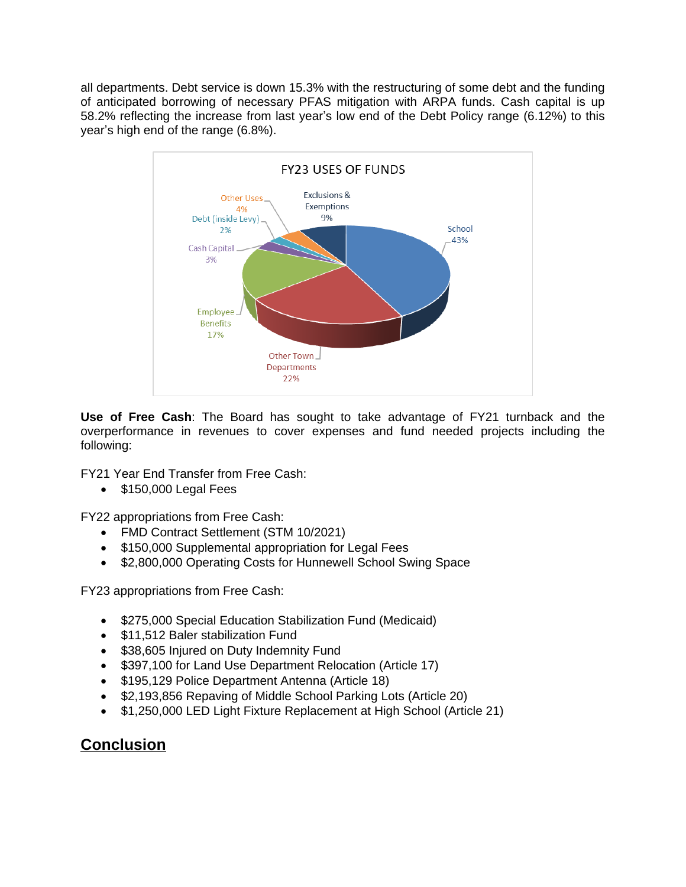all departments. Debt service is down 15.3% with the restructuring of some debt and the funding of anticipated borrowing of necessary PFAS mitigation with ARPA funds. Cash capital is up 58.2% reflecting the increase from last year's low end of the Debt Policy range (6.12%) to this year's high end of the range (6.8%).



**Use of Free Cash**: The Board has sought to take advantage of FY21 turnback and the overperformance in revenues to cover expenses and fund needed projects including the following:

FY21 Year End Transfer from Free Cash:

 $\bullet$  \$150,000 Legal Fees

FY22 appropriations from Free Cash:

- FMD Contract Settlement (STM 10/2021)
- \$150,000 Supplemental appropriation for Legal Fees
- \$2,800,000 Operating Costs for Hunnewell School Swing Space

FY23 appropriations from Free Cash:

- \$275,000 Special Education Stabilization Fund (Medicaid)
- \$11,512 Baler stabilization Fund
- **\$38,605 Injured on Duty Indemnity Fund**
- \$397,100 for Land Use Department Relocation (Article 17)
- \$195,129 Police Department Antenna (Article 18)
- \$2,193,856 Repaving of Middle School Parking Lots (Article 20)
- \$1,250,000 LED Light Fixture Replacement at High School (Article 21)

## **Conclusion**